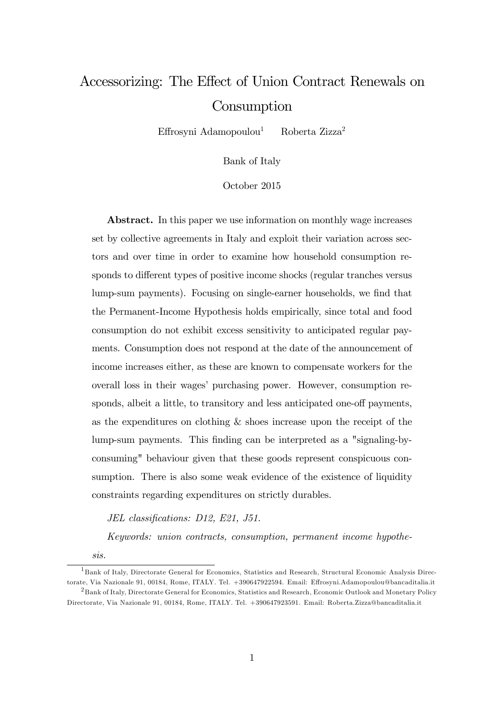# Accessorizing: The Effect of Union Contract Renewals on **Consumption**

Effrosyni Adamopoulou<sup>1</sup> Roberta Zizza<sup>2</sup>

Bank of Italy

October 2015

Abstract. In this paper we use information on monthly wage increases set by collective agreements in Italy and exploit their variation across sectors and over time in order to examine how household consumption responds to different types of positive income shocks (regular tranches versus lump-sum payments). Focusing on single-earner households, we Önd that the Permanent-Income Hypothesis holds empirically, since total and food consumption do not exhibit excess sensitivity to anticipated regular payments. Consumption does not respond at the date of the announcement of income increases either, as these are known to compensate workers for the overall loss in their wagesí purchasing power. However, consumption responds, albeit a little, to transitory and less anticipated one-off payments, as the expenditures on clothing & shoes increase upon the receipt of the lump-sum payments. This Önding can be interpreted as a "signaling-byconsuming" behaviour given that these goods represent conspicuous consumption. There is also some weak evidence of the existence of liquidity constraints regarding expenditures on strictly durables.

JEL classifications: D12, E21, J51.

Keywords: union contracts, consumption, permanent income hypothe-

sis.

<sup>&</sup>lt;sup>1</sup>Bank of Italy, Directorate General for Economics, Statistics and Research, Structural Economic Analysis Directorate, Via Nazionale 91, 00184, Rome, ITALY. Tel. +390647922594. Email: Effrosyni.Adamopoulou@bancaditalia.it <sup>2</sup>Bank of Italy, Directorate General for Economics, Statistics and Research, Economic Outlook and Monetary Policy Directorate, Via Nazionale 91, 00184, Rome, ITALY. Tel. +390647923591. Email: Roberta.Zizza@bancaditalia.it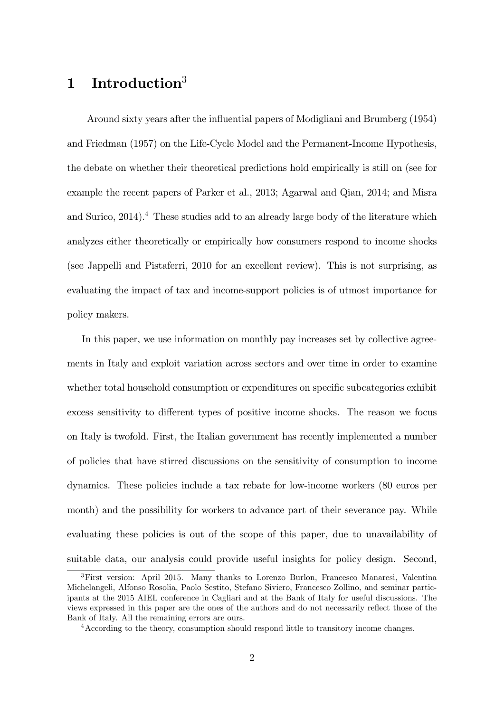## 1 Introduction<sup>3</sup>

Around sixty years after the influential papers of Modigliani and Brumberg (1954) and Friedman (1957) on the Life-Cycle Model and the Permanent-Income Hypothesis, the debate on whether their theoretical predictions hold empirically is still on (see for example the recent papers of Parker et al., 2013; Agarwal and Qian, 2014; and Misra and Surico,  $2014$ .<sup>4</sup> These studies add to an already large body of the literature which analyzes either theoretically or empirically how consumers respond to income shocks (see Jappelli and Pistaferri, 2010 for an excellent review). This is not surprising, as evaluating the impact of tax and income-support policies is of utmost importance for policy makers.

In this paper, we use information on monthly pay increases set by collective agreements in Italy and exploit variation across sectors and over time in order to examine whether total household consumption or expenditures on specific subcategories exhibit excess sensitivity to different types of positive income shocks. The reason we focus on Italy is twofold. First, the Italian government has recently implemented a number of policies that have stirred discussions on the sensitivity of consumption to income dynamics. These policies include a tax rebate for low-income workers (80 euros per month) and the possibility for workers to advance part of their severance pay. While evaluating these policies is out of the scope of this paper, due to unavailability of suitable data, our analysis could provide useful insights for policy design. Second,

<sup>&</sup>lt;sup>3</sup>First version: April 2015. Many thanks to Lorenzo Burlon, Francesco Manaresi, Valentina Michelangeli, Alfonso Rosolia, Paolo Sestito, Stefano Siviero, Francesco Zollino, and seminar participants at the 2015 AIEL conference in Cagliari and at the Bank of Italy for useful discussions. The views expressed in this paper are the ones of the authors and do not necessarily reflect those of the Bank of Italy. All the remaining errors are ours.

<sup>4</sup>According to the theory, consumption should respond little to transitory income changes.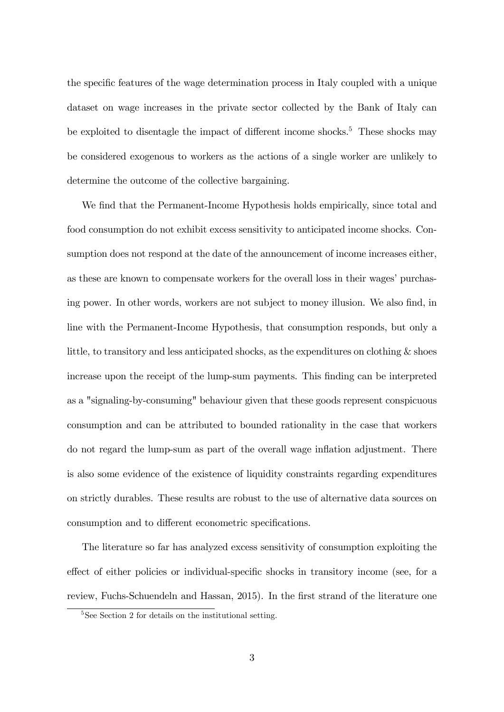the specific features of the wage determination process in Italy coupled with a unique dataset on wage increases in the private sector collected by the Bank of Italy can be exploited to disentagle the impact of different income shocks.<sup>5</sup> These shocks may be considered exogenous to workers as the actions of a single worker are unlikely to determine the outcome of the collective bargaining.

We find that the Permanent-Income Hypothesis holds empirically, since total and food consumption do not exhibit excess sensitivity to anticipated income shocks. Consumption does not respond at the date of the announcement of income increases either, as these are known to compensate workers for the overall loss in their wages' purchasing power. In other words, workers are not subject to money illusion. We also find, in line with the Permanent-Income Hypothesis, that consumption responds, but only a little, to transitory and less anticipated shocks, as the expenditures on clothing  $\&$  shoes increase upon the receipt of the lump-sum payments. This Önding can be interpreted as a "signaling-by-consuming" behaviour given that these goods represent conspicuous consumption and can be attributed to bounded rationality in the case that workers do not regard the lump-sum as part of the overall wage inflation adjustment. There is also some evidence of the existence of liquidity constraints regarding expenditures on strictly durables. These results are robust to the use of alternative data sources on consumption and to different econometric specifications.

The literature so far has analyzed excess sensitivity of consumption exploiting the effect of either policies or individual-specific shocks in transitory income (see, for a review, Fuchs-Schuendeln and Hassan, 2015). In the first strand of the literature one

<sup>&</sup>lt;sup>5</sup>See Section 2 for details on the institutional setting.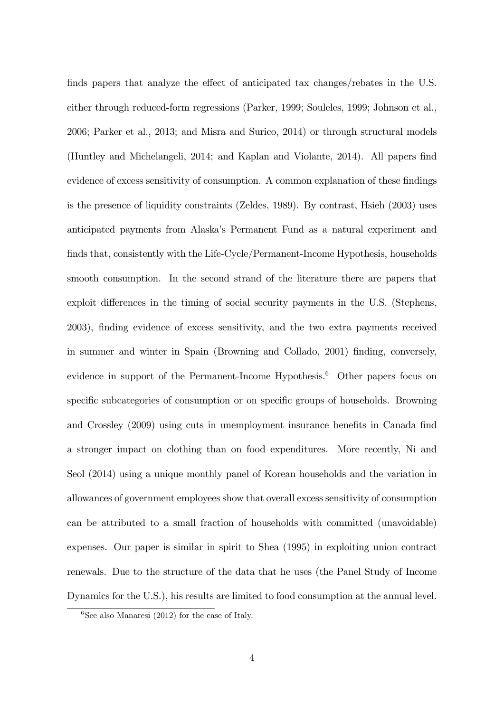finds papers that analyze the effect of anticipated tax changes/rebates in the U.S. either through reduced-form regressions (Parker, 1999; Souleles, 1999; Johnson et al., 2006; Parker et al., 2013; and Misra and Surico, 2014) or through structural models (Huntley and Michelangeli, 2014; and Kaplan and Violante, 2014). All papers Önd evidence of excess sensitivity of consumption. A common explanation of these findings is the presence of liquidity constraints (Zeldes, 1989). By contrast, Hsieh (2003) uses anticipated payments from Alaskaís Permanent Fund as a natural experiment and finds that, consistently with the Life-Cycle/Permanent-Income Hypothesis, households smooth consumption. In the second strand of the literature there are papers that exploit differences in the timing of social security payments in the U.S. (Stephens, 2003), Önding evidence of excess sensitivity, and the two extra payments received in summer and winter in Spain (Browning and Collado, 2001) Önding, conversely, evidence in support of the Permanent-Income Hypothesis.<sup>6</sup> Other papers focus on specific subcategories of consumption or on specific groups of households. Browning and Crossley (2009) using cuts in unemployment insurance benefits in Canada find a stronger impact on clothing than on food expenditures. More recently, Ni and Seol (2014) using a unique monthly panel of Korean households and the variation in allowances of government employees show that overall excess sensitivity of consumption can be attributed to a small fraction of households with committed (unavoidable) expenses. Our paper is similar in spirit to Shea (1995) in exploiting union contract renewals. Due to the structure of the data that he uses (the Panel Study of Income Dynamics for the U.S.), his results are limited to food consumption at the annual level.

 ${}^{6}$ See also Manaresi (2012) for the case of Italy.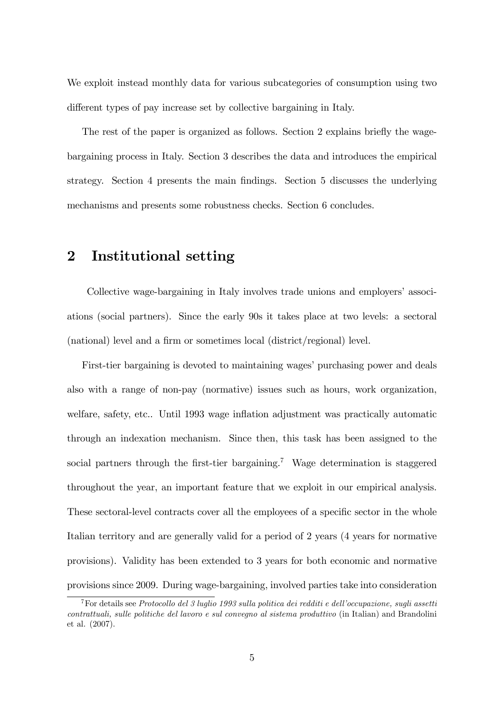We exploit instead monthly data for various subcategories of consumption using two different types of pay increase set by collective bargaining in Italy.

The rest of the paper is organized as follows. Section 2 explains briefly the wagebargaining process in Italy. Section 3 describes the data and introduces the empirical strategy. Section 4 presents the main Öndings. Section 5 discusses the underlying mechanisms and presents some robustness checks. Section 6 concludes.

## 2 Institutional setting

Collective wage-bargaining in Italy involves trade unions and employers' associ-ations (social partners). Since the early 90s it takes place at two levels: a sectoral (national) level and a firm or sometimes local (district/regional) level.

First-tier bargaining is devoted to maintaining wages' purchasing power and deals also with a range of non-pay (normative) issues such as hours, work organization, welfare, safety, etc.. Until 1993 wage inflation adjustment was practically automatic through an indexation mechanism. Since then, this task has been assigned to the social partners through the first-tier bargaining.<sup>7</sup> Wage determination is staggered throughout the year, an important feature that we exploit in our empirical analysis. These sectoral-level contracts cover all the employees of a specific sector in the whole Italian territory and are generally valid for a period of 2 years (4 years for normative provisions). Validity has been extended to 3 years for both economic and normative provisions since 2009. During wage-bargaining, involved parties take into consideration

<sup>&</sup>lt;sup>7</sup>For details see Protocollo del 3 luglio 1993 sulla politica dei redditi e dell'occupazione, sugli assetti contrattuali, sulle politiche del lavoro e sul convegno al sistema produttivo (in Italian) and Brandolini et al. (2007).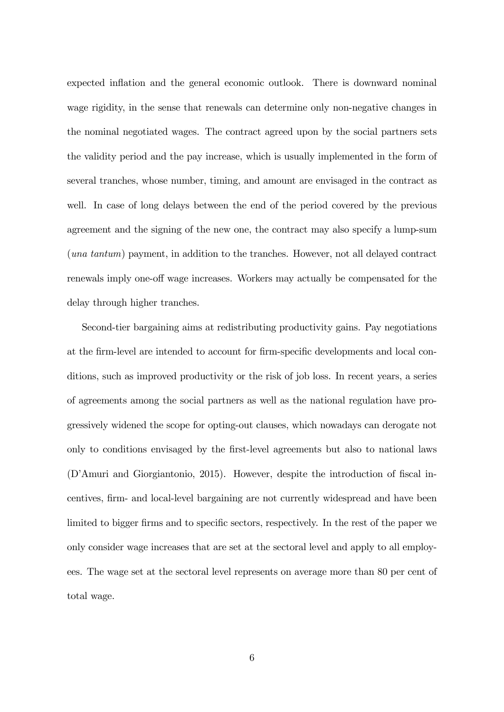expected inflation and the general economic outlook. There is downward nominal wage rigidity, in the sense that renewals can determine only non-negative changes in the nominal negotiated wages. The contract agreed upon by the social partners sets the validity period and the pay increase, which is usually implemented in the form of several tranches, whose number, timing, and amount are envisaged in the contract as well. In case of long delays between the end of the period covered by the previous agreement and the signing of the new one, the contract may also specify a lump-sum (una tantum) payment, in addition to the tranches. However, not all delayed contract renewals imply one-off wage increases. Workers may actually be compensated for the delay through higher tranches.

Second-tier bargaining aims at redistributing productivity gains. Pay negotiations at the firm-level are intended to account for firm-specific developments and local conditions, such as improved productivity or the risk of job loss. In recent years, a series of agreements among the social partners as well as the national regulation have progressively widened the scope for opting-out clauses, which nowadays can derogate not only to conditions envisaged by the first-level agreements but also to national laws (D'Amuri and Giorgiantonio, 2015). However, despite the introduction of fiscal incentives, Örm- and local-level bargaining are not currently widespread and have been limited to bigger firms and to specific sectors, respectively. In the rest of the paper we only consider wage increases that are set at the sectoral level and apply to all employees. The wage set at the sectoral level represents on average more than 80 per cent of total wage.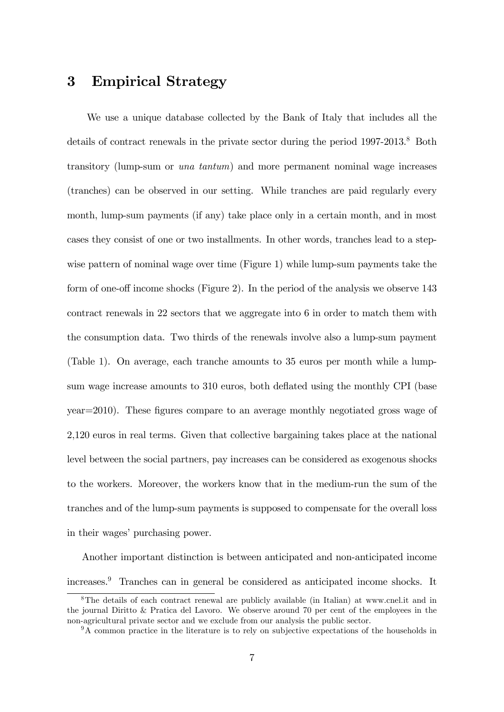#### 3 Empirical Strategy

We use a unique database collected by the Bank of Italy that includes all the details of contract renewals in the private sector during the period  $1997-2013$ .<sup>8</sup> Both transitory (lump-sum or una tantum) and more permanent nominal wage increases (tranches) can be observed in our setting. While tranches are paid regularly every month, lump-sum payments (if any) take place only in a certain month, and in most cases they consist of one or two installments. In other words, tranches lead to a stepwise pattern of nominal wage over time (Figure 1) while lump-sum payments take the form of one-off income shocks (Figure 2). In the period of the analysis we observe  $143$ contract renewals in 22 sectors that we aggregate into 6 in order to match them with the consumption data. Two thirds of the renewals involve also a lump-sum payment (Table 1). On average, each tranche amounts to 35 euros per month while a lumpsum wage increase amounts to 310 euros, both deflated using the monthly CPI (base year=2010). These figures compare to an average monthly negotiated gross wage of 2,120 euros in real terms. Given that collective bargaining takes place at the national level between the social partners, pay increases can be considered as exogenous shocks to the workers. Moreover, the workers know that in the medium-run the sum of the tranches and of the lump-sum payments is supposed to compensate for the overall loss in their wages' purchasing power.

Another important distinction is between anticipated and non-anticipated income increases.<sup>9</sup> Tranches can in general be considered as anticipated income shocks. It

<sup>8</sup>The details of each contract renewal are publicly available (in Italian) at www.cnel.it and in the journal Diritto & Pratica del Lavoro. We observe around 70 per cent of the employees in the non-agricultural private sector and we exclude from our analysis the public sector.

<sup>&</sup>lt;sup>9</sup>A common practice in the literature is to rely on subjective expectations of the households in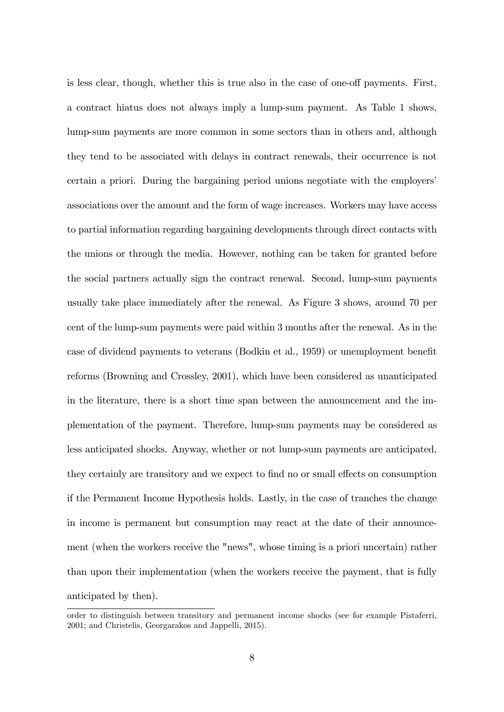is less clear, though, whether this is true also in the case of one-off payments. First, a contract hiatus does not always imply a lump-sum payment. As Table 1 shows, lump-sum payments are more common in some sectors than in others and, although they tend to be associated with delays in contract renewals, their occurrence is not certain a priori. During the bargaining period unions negotiate with the employers' associations over the amount and the form of wage increases. Workers may have access to partial information regarding bargaining developments through direct contacts with the unions or through the media. However, nothing can be taken for granted before the social partners actually sign the contract renewal. Second, lump-sum payments usually take place immediately after the renewal. As Figure 3 shows, around 70 per cent of the lump-sum payments were paid within 3 months after the renewal. As in the case of dividend payments to veterans (Bodkin et al., 1959) or unemployment benefit reforms (Browning and Crossley, 2001), which have been considered as unanticipated in the literature, there is a short time span between the announcement and the implementation of the payment. Therefore, lump-sum payments may be considered as less anticipated shocks. Anyway, whether or not lump-sum payments are anticipated, they certainly are transitory and we expect to find no or small effects on consumption if the Permanent Income Hypothesis holds. Lastly, in the case of tranches the change in income is permanent but consumption may react at the date of their announcement (when the workers receive the "news", whose timing is a priori uncertain) rather than upon their implementation (when the workers receive the payment, that is fully anticipated by then).

order to distinguish between transitory and permanent income shocks (see for example Pistaferri, 2001; and Christelis, Georgarakos and Jappelli, 2015).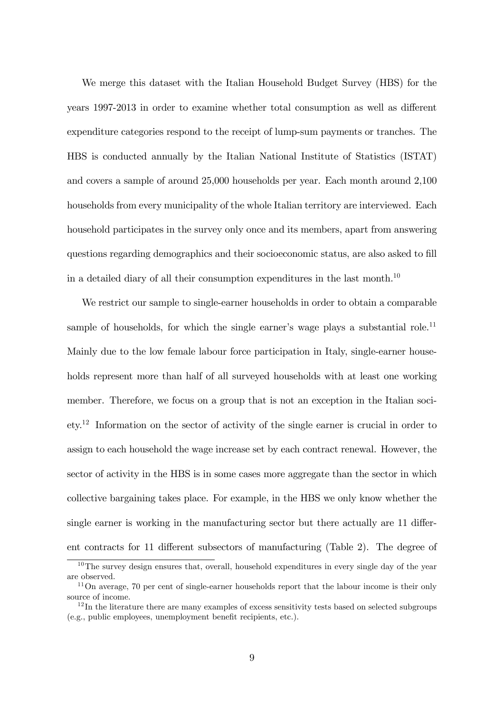We merge this dataset with the Italian Household Budget Survey (HBS) for the years 1997-2013 in order to examine whether total consumption as well as different expenditure categories respond to the receipt of lump-sum payments or tranches. The HBS is conducted annually by the Italian National Institute of Statistics (ISTAT) and covers a sample of around 25,000 households per year. Each month around 2,100 households from every municipality of the whole Italian territory are interviewed. Each household participates in the survey only once and its members, apart from answering questions regarding demographics and their socioeconomic status, are also asked to fill in a detailed diary of all their consumption expenditures in the last month.<sup>10</sup>

We restrict our sample to single-earner households in order to obtain a comparable sample of households, for which the single earner's wage plays a substantial role.<sup>11</sup> Mainly due to the low female labour force participation in Italy, single-earner households represent more than half of all surveyed households with at least one working member. Therefore, we focus on a group that is not an exception in the Italian society.<sup>12</sup> Information on the sector of activity of the single earner is crucial in order to assign to each household the wage increase set by each contract renewal. However, the sector of activity in the HBS is in some cases more aggregate than the sector in which collective bargaining takes place. For example, in the HBS we only know whether the single earner is working in the manufacturing sector but there actually are  $11$  different contracts for 11 different subsectors of manufacturing (Table 2). The degree of

<sup>&</sup>lt;sup>10</sup>The survey design ensures that, overall, household expenditures in every single day of the year are observed.

<sup>&</sup>lt;sup>11</sup>On average, 70 per cent of single-earner households report that the labour income is their only source of income.

 $12$ In the literature there are many examples of excess sensitivity tests based on selected subgroups  $(e.g., public employees, unembovment benefit recipients, etc.).$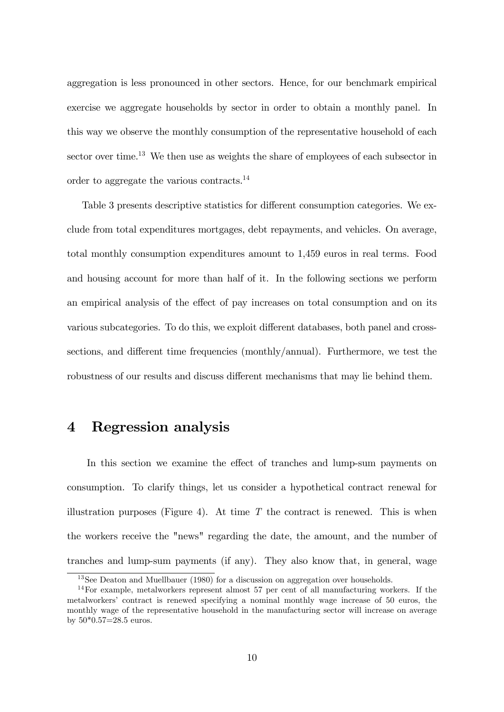aggregation is less pronounced in other sectors. Hence, for our benchmark empirical exercise we aggregate households by sector in order to obtain a monthly panel. In this way we observe the monthly consumption of the representative household of each sector over time.<sup>13</sup> We then use as weights the share of employees of each subsector in order to aggregate the various contracts.<sup>14</sup>

Table 3 presents descriptive statistics for different consumption categories. We exclude from total expenditures mortgages, debt repayments, and vehicles. On average, total monthly consumption expenditures amount to 1,459 euros in real terms. Food and housing account for more than half of it. In the following sections we perform an empirical analysis of the effect of pay increases on total consumption and on its various subcategories. To do this, we exploit different databases, both panel and crosssections, and different time frequencies (monthly/annual). Furthermore, we test the robustness of our results and discuss different mechanisms that may lie behind them.

## 4 Regression analysis

In this section we examine the effect of tranches and lump-sum payments on consumption. To clarify things, let us consider a hypothetical contract renewal for illustration purposes (Figure 4). At time  $T$  the contract is renewed. This is when the workers receive the "news" regarding the date, the amount, and the number of tranches and lump-sum payments (if any). They also know that, in general, wage

<sup>&</sup>lt;sup>13</sup>See Deaton and Muellbauer (1980) for a discussion on aggregation over households.

 $14$ For example, metalworkers represent almost 57 per cent of all manufacturing workers. If the metalworkersí contract is renewed specifying a nominal monthly wage increase of 50 euros, the monthly wage of the representative household in the manufacturing sector will increase on average by 50\*0.57=28.5 euros.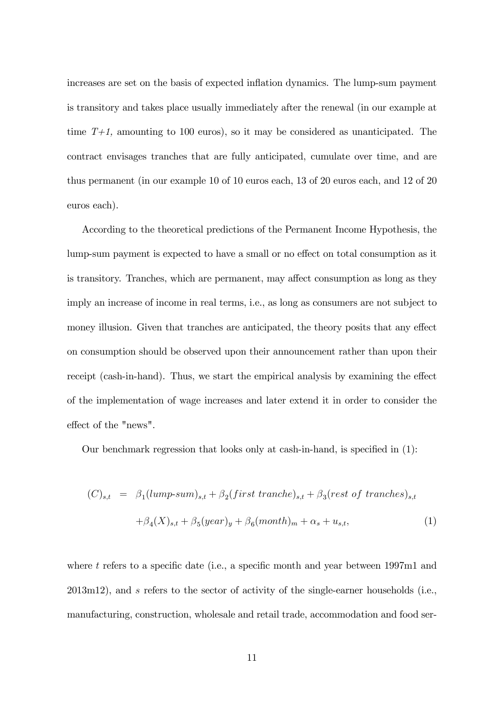increases are set on the basis of expected inflation dynamics. The lump-sum payment is transitory and takes place usually immediately after the renewal (in our example at time  $T+1$ , amounting to 100 euros), so it may be considered as unanticipated. The contract envisages tranches that are fully anticipated, cumulate over time, and are thus permanent (in our example 10 of 10 euros each, 13 of 20 euros each, and 12 of 20 euros each).

According to the theoretical predictions of the Permanent Income Hypothesis, the lump-sum payment is expected to have a small or no effect on total consumption as it is transitory. Tranches, which are permanent, may affect consumption as long as they imply an increase of income in real terms, i.e., as long as consumers are not subject to money illusion. Given that tranches are anticipated, the theory posits that any effect on consumption should be observed upon their announcement rather than upon their receipt (cash-in-hand). Thus, we start the empirical analysis by examining the effect of the implementation of wage increases and later extend it in order to consider the effect of the "news".

Our benchmark regression that looks only at cash-in-hand, is specified in  $(1)$ :

$$
(C)_{s,t} = \beta_1(lump-sum)_{s,t} + \beta_2(first\ tranche)_{s,t} + \beta_3(rest\ of\ tranches)_{s,t}
$$

$$
+ \beta_4(X)_{s,t} + \beta_5(year)_{y} + \beta_6(month)_{m} + \alpha_s + u_{s,t},
$$
 $(1)$ 

where t refers to a specific date (i.e., a specific month and year between  $1997m1$  and 2013m12), and s refers to the sector of activity of the single-earner households (i.e., manufacturing, construction, wholesale and retail trade, accommodation and food ser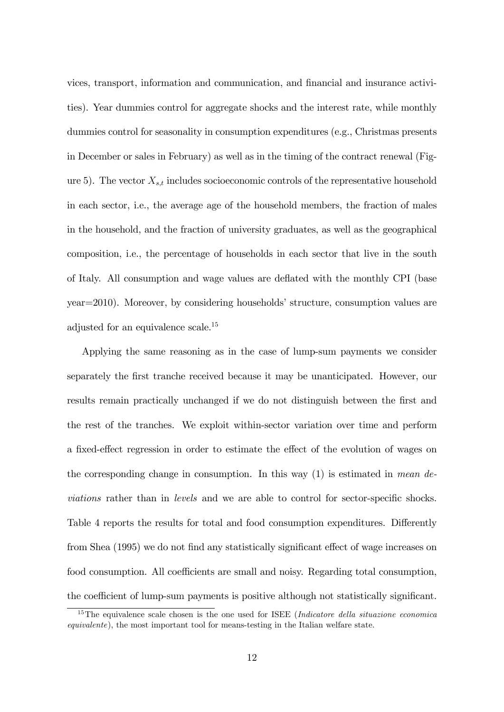vices, transport, information and communication, and Önancial and insurance activities). Year dummies control for aggregate shocks and the interest rate, while monthly dummies control for seasonality in consumption expenditures (e.g., Christmas presents in December or sales in February) as well as in the timing of the contract renewal (Figure 5). The vector  $X_{s,t}$  includes socioeconomic controls of the representative household in each sector, i.e., the average age of the household members, the fraction of males in the household, and the fraction of university graduates, as well as the geographical composition, i.e., the percentage of households in each sector that live in the south of Italy. All consumption and wage values are deáated with the monthly CPI (base  $year=2010$ ). Moreover, by considering households' structure, consumption values are adjusted for an equivalence scale.<sup>15</sup>

Applying the same reasoning as in the case of lump-sum payments we consider separately the Örst tranche received because it may be unanticipated. However, our results remain practically unchanged if we do not distinguish between the first and the rest of the tranches. We exploit within-sector variation over time and perform a fixed-effect regression in order to estimate the effect of the evolution of wages on the corresponding change in consumption. In this way  $(1)$  is estimated in mean deviations rather than in levels and we are able to control for sector-specific shocks. Table 4 reports the results for total and food consumption expenditures. Differently from Shea (1995) we do not find any statistically significant effect of wage increases on food consumption. All coefficients are small and noisy. Regarding total consumption, the coefficient of lump-sum payments is positive although not statistically significant.

<sup>&</sup>lt;sup>15</sup>The equivalence scale chosen is the one used for ISEE (*Indicatore della situazione economica* equivalente), the most important tool for means-testing in the Italian welfare state.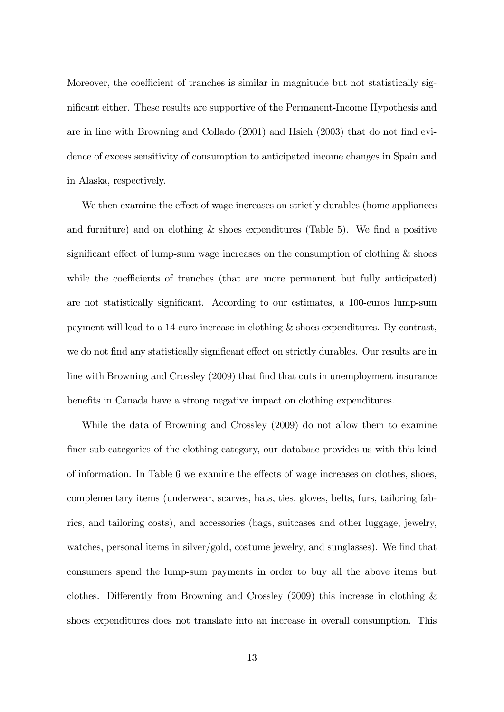Moreover, the coefficient of tranches is similar in magnitude but not statistically significant either. These results are supportive of the Permanent-Income Hypothesis and are in line with Browning and Collado (2001) and Hsieh (2003) that do not find evidence of excess sensitivity of consumption to anticipated income changes in Spain and in Alaska, respectively.

We then examine the effect of wage increases on strictly durables (home appliances and furniture) and on clothing  $&$  shoes expenditures (Table 5). We find a positive significant effect of lump-sum wage increases on the consumption of clothing  $\&$  shoes while the coefficients of tranches (that are more permanent but fully anticipated) are not statistically significant. According to our estimates, a 100-euros lump-sum payment will lead to a 14-euro increase in clothing & shoes expenditures. By contrast, we do not find any statistically significant effect on strictly durables. Our results are in line with Browning and Crossley (2009) that find that cuts in unemployment insurance benefits in Canada have a strong negative impact on clothing expenditures.

While the data of Browning and Crossley (2009) do not allow them to examine Öner sub-categories of the clothing category, our database provides us with this kind of information. In Table 6 we examine the effects of wage increases on clothes, shoes, complementary items (underwear, scarves, hats, ties, gloves, belts, furs, tailoring fabrics, and tailoring costs), and accessories (bags, suitcases and other luggage, jewelry, watches, personal items in silver/gold, costume jewelry, and sunglasses). We find that consumers spend the lump-sum payments in order to buy all the above items but clothes. Differently from Browning and Crossley (2009) this increase in clothing  $\&$ shoes expenditures does not translate into an increase in overall consumption. This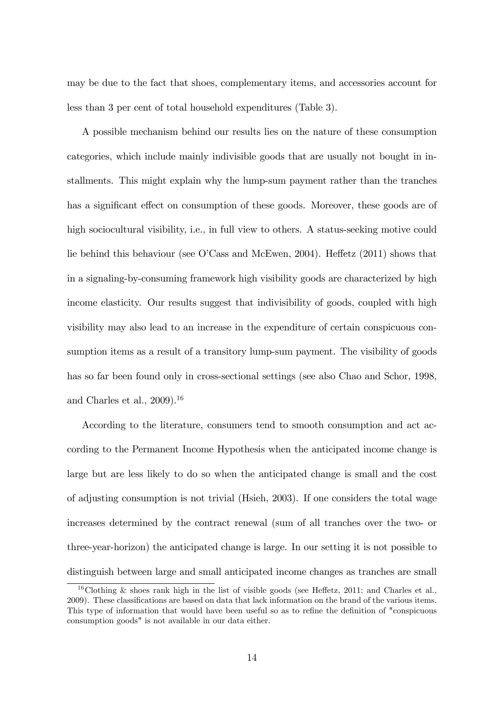may be due to the fact that shoes, complementary items, and accessories account for less than 3 per cent of total household expenditures (Table 3).

A possible mechanism behind our results lies on the nature of these consumption categories, which include mainly indivisible goods that are usually not bought in installments. This might explain why the lump-sum payment rather than the tranches has a significant effect on consumption of these goods. Moreover, these goods are of high sociocultural visibility, i.e., in full view to others. A status-seeking motive could lie behind this behaviour (see O'Cass and McEwen, 2004). Heffetz  $(2011)$  shows that in a signaling-by-consuming framework high visibility goods are characterized by high income elasticity. Our results suggest that indivisibility of goods, coupled with high visibility may also lead to an increase in the expenditure of certain conspicuous consumption items as a result of a transitory lump-sum payment. The visibility of goods has so far been found only in cross-sectional settings (see also Chao and Schor, 1998, and Charles et al.,  $2009$ ).<sup>16</sup>

According to the literature, consumers tend to smooth consumption and act according to the Permanent Income Hypothesis when the anticipated income change is large but are less likely to do so when the anticipated change is small and the cost of adjusting consumption is not trivial (Hsieh, 2003). If one considers the total wage increases determined by the contract renewal (sum of all tranches over the two- or three-year-horizon) the anticipated change is large. In our setting it is not possible to distinguish between large and small anticipated income changes as tranches are small

<sup>&</sup>lt;sup>16</sup>Clothing & shoes rank high in the list of visible goods (see Heffetz, 2011; and Charles et al., 2009). These classiÖcations are based on data that lack information on the brand of the various items. This type of information that would have been useful so as to refine the definition of "conspicuous" consumption goods" is not available in our data either.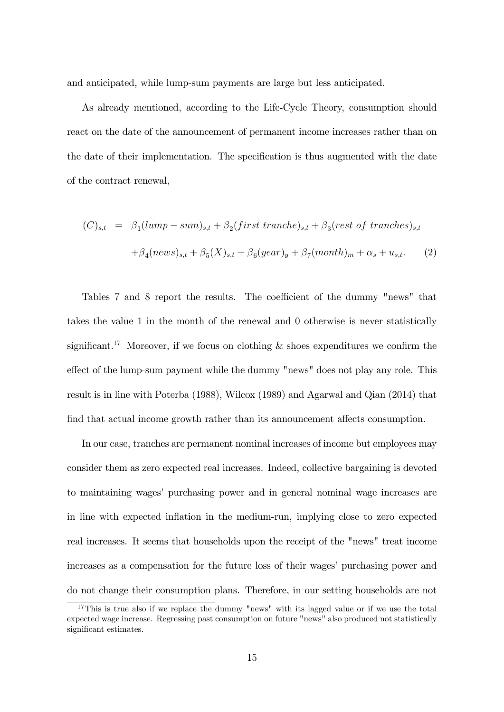and anticipated, while lump-sum payments are large but less anticipated.

As already mentioned, according to the Life-Cycle Theory, consumption should react on the date of the announcement of permanent income increases rather than on the date of their implementation. The specification is thus augmented with the date of the contract renewal,

$$
(C)_{s,t} = \beta_1(lump-sum)_{s,t} + \beta_2(first\ tranche)_{s,t} + \beta_3(rest\ of\ tranches)_{s,t}
$$

$$
+ \beta_4(news)_{s,t} + \beta_5(X)_{s,t} + \beta_6(year)_{y} + \beta_7(month)_{m} + \alpha_s + u_{s,t}. \tag{2}
$$

Tables 7 and 8 report the results. The coefficient of the dummy "news" that takes the value 1 in the month of the renewal and 0 otherwise is never statistically significant.<sup>17</sup> Moreover, if we focus on clothing  $\&$  shoes expenditures we confirm the effect of the lump-sum payment while the dummy "news" does not play any role. This result is in line with Poterba (1988), Wilcox (1989) and Agarwal and Qian (2014) that find that actual income growth rather than its announcement affects consumption.

In our case, tranches are permanent nominal increases of income but employees may consider them as zero expected real increases. Indeed, collective bargaining is devoted to maintaining wages' purchasing power and in general nominal wage increases are in line with expected ináation in the medium-run, implying close to zero expected real increases. It seems that households upon the receipt of the "news" treat income increases as a compensation for the future loss of their wages' purchasing power and do not change their consumption plans. Therefore, in our setting households are not

<sup>&</sup>lt;sup>17</sup>This is true also if we replace the dummy "news" with its lagged value or if we use the total expected wage increase. Regressing past consumption on future "news" also produced not statistically significant estimates.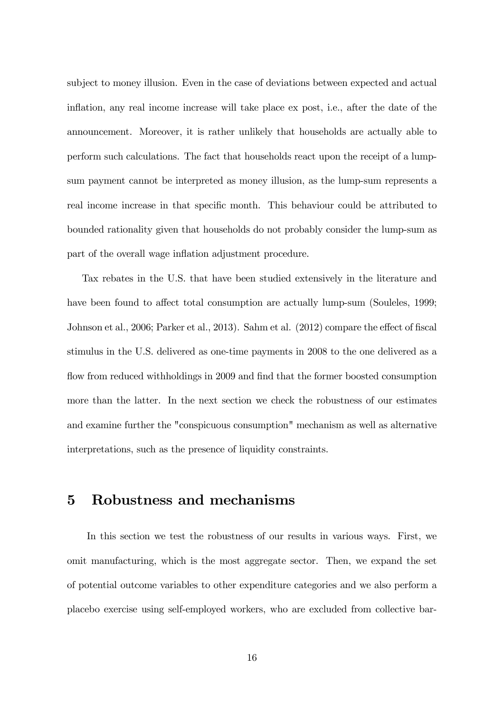subject to money illusion. Even in the case of deviations between expected and actual inflation, any real income increase will take place ex post, i.e., after the date of the announcement. Moreover, it is rather unlikely that households are actually able to perform such calculations. The fact that households react upon the receipt of a lumpsum payment cannot be interpreted as money illusion, as the lump-sum represents a real income increase in that specific month. This behaviour could be attributed to bounded rationality given that households do not probably consider the lump-sum as part of the overall wage inflation adjustment procedure.

Tax rebates in the U.S. that have been studied extensively in the literature and have been found to affect total consumption are actually lump-sum (Souleles, 1999; Johnson et al., 2006; Parker et al., 2013). Sahm et al.  $(2012)$  compare the effect of fiscal stimulus in the U.S. delivered as one-time payments in 2008 to the one delivered as a flow from reduced withholdings in 2009 and find that the former boosted consumption more than the latter. In the next section we check the robustness of our estimates and examine further the "conspicuous consumption" mechanism as well as alternative interpretations, such as the presence of liquidity constraints.

#### 5 Robustness and mechanisms

In this section we test the robustness of our results in various ways. First, we omit manufacturing, which is the most aggregate sector. Then, we expand the set of potential outcome variables to other expenditure categories and we also perform a placebo exercise using self-employed workers, who are excluded from collective bar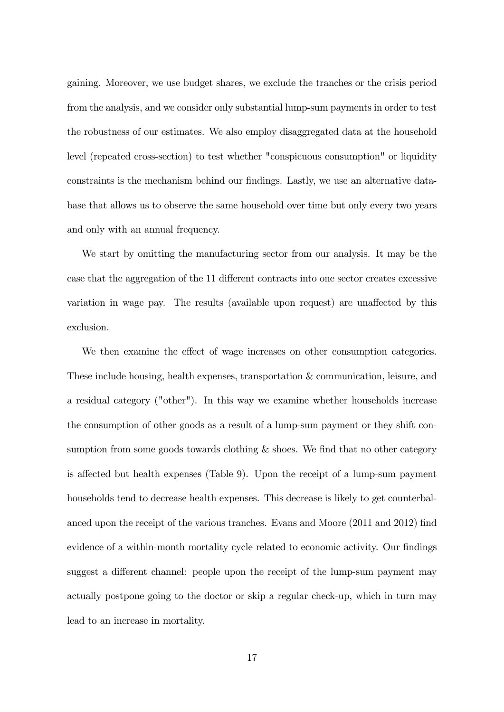gaining. Moreover, we use budget shares, we exclude the tranches or the crisis period from the analysis, and we consider only substantial lump-sum payments in order to test the robustness of our estimates. We also employ disaggregated data at the household level (repeated cross-section) to test whether "conspicuous consumption" or liquidity constraints is the mechanism behind our findings. Lastly, we use an alternative database that allows us to observe the same household over time but only every two years and only with an annual frequency.

We start by omitting the manufacturing sector from our analysis. It may be the case that the aggregation of the 11 different contracts into one sector creates excessive variation in wage pay. The results (available upon request) are unaffected by this exclusion.

We then examine the effect of wage increases on other consumption categories. These include housing, health expenses, transportation & communication, leisure, and a residual category ("other"). In this way we examine whether households increase the consumption of other goods as a result of a lump-sum payment or they shift consumption from some goods towards clothing  $\&$  shoes. We find that no other category is affected but health expenses (Table 9). Upon the receipt of a lump-sum payment households tend to decrease health expenses. This decrease is likely to get counterbalanced upon the receipt of the various tranches. Evans and Moore (2011 and 2012) find evidence of a within-month mortality cycle related to economic activity. Our findings suggest a different channel: people upon the receipt of the lump-sum payment may actually postpone going to the doctor or skip a regular check-up, which in turn may lead to an increase in mortality.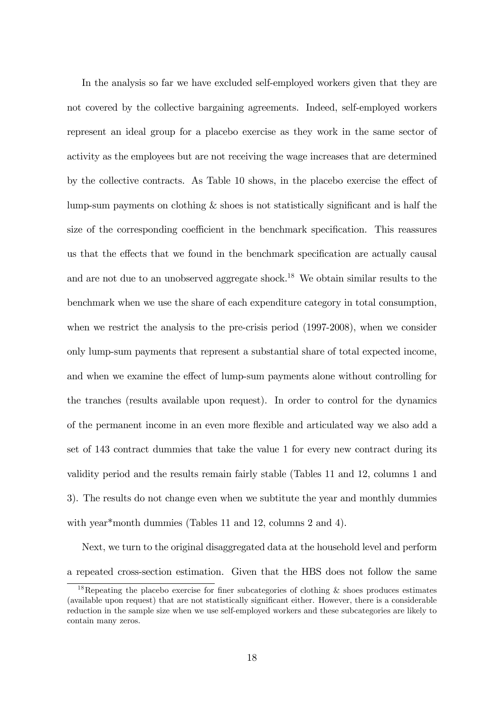In the analysis so far we have excluded self-employed workers given that they are not covered by the collective bargaining agreements. Indeed, self-employed workers represent an ideal group for a placebo exercise as they work in the same sector of activity as the employees but are not receiving the wage increases that are determined by the collective contracts. As Table 10 shows, in the placebo exercise the effect of lump-sum payments on clothing  $\&$  shoes is not statistically significant and is half the size of the corresponding coefficient in the benchmark specification. This reassures us that the effects that we found in the benchmark specification are actually causal and are not due to an unobserved aggregate shock.<sup>18</sup> We obtain similar results to the benchmark when we use the share of each expenditure category in total consumption, when we restrict the analysis to the pre-crisis period (1997-2008), when we consider only lump-sum payments that represent a substantial share of total expected income, and when we examine the effect of lump-sum payments alone without controlling for the tranches (results available upon request). In order to control for the dynamics of the permanent income in an even more áexible and articulated way we also add a set of 143 contract dummies that take the value 1 for every new contract during its validity period and the results remain fairly stable (Tables 11 and 12, columns 1 and 3). The results do not change even when we subtitute the year and monthly dummies with year<sup>\*</sup>month dummies (Tables 11 and 12, columns 2 and 4).

Next, we turn to the original disaggregated data at the household level and perform a repeated cross-section estimation. Given that the HBS does not follow the same

<sup>&</sup>lt;sup>18</sup>Repeating the placebo exercise for finer subcategories of clothing  $\&$  shoes produces estimates (available upon request) that are not statistically significant either. However, there is a considerable reduction in the sample size when we use self-employed workers and these subcategories are likely to contain many zeros.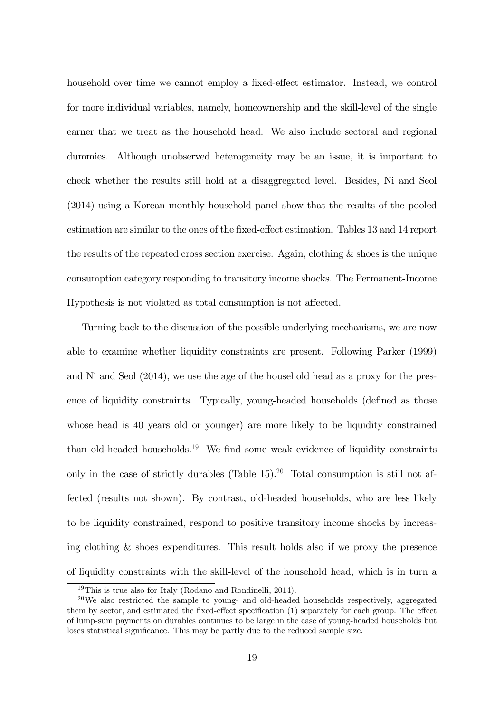household over time we cannot employ a fixed-effect estimator. Instead, we control for more individual variables, namely, homeownership and the skill-level of the single earner that we treat as the household head. We also include sectoral and regional dummies. Although unobserved heterogeneity may be an issue, it is important to check whether the results still hold at a disaggregated level. Besides, Ni and Seol (2014) using a Korean monthly household panel show that the results of the pooled estimation are similar to the ones of the fixed-effect estimation. Tables 13 and 14 report the results of the repeated cross section exercise. Again, clothing & shoes is the unique consumption category responding to transitory income shocks. The Permanent-Income Hypothesis is not violated as total consumption is not affected.

Turning back to the discussion of the possible underlying mechanisms, we are now able to examine whether liquidity constraints are present. Following Parker (1999) and Ni and Seol (2014), we use the age of the household head as a proxy for the presence of liquidity constraints. Typically, young-headed households (defined as those whose head is 40 years old or younger) are more likely to be liquidity constrained than old-headed households.<sup>19</sup> We find some weak evidence of liquidity constraints only in the case of strictly durables (Table  $15$ ).<sup>20</sup> Total consumption is still not affected (results not shown). By contrast, old-headed households, who are less likely to be liquidity constrained, respond to positive transitory income shocks by increasing clothing & shoes expenditures. This result holds also if we proxy the presence of liquidity constraints with the skill-level of the household head, which is in turn a

<sup>19</sup>This is true also for Italy (Rodano and Rondinelli, 2014).

 $^{20}$ We also restricted the sample to young- and old-headed households respectively, aggregated them by sector, and estimated the fixed-effect specification  $(1)$  separately for each group. The effect of lump-sum payments on durables continues to be large in the case of young-headed households but loses statistical significance. This may be partly due to the reduced sample size.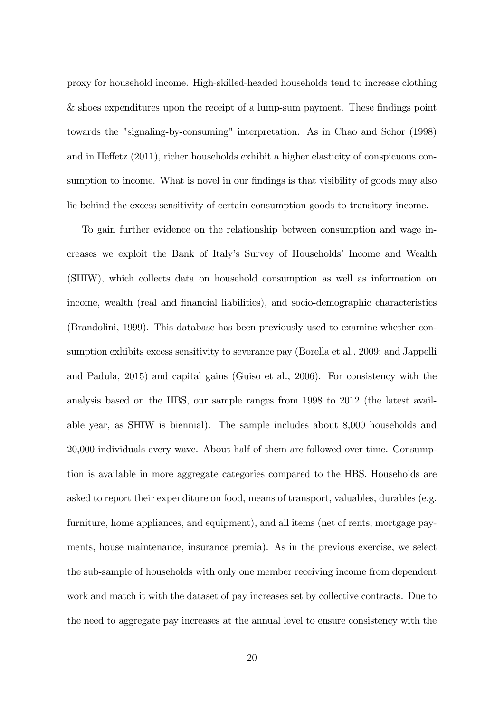proxy for household income. High-skilled-headed households tend to increase clothing  $&$  shoes expenditures upon the receipt of a lump-sum payment. These findings point towards the "signaling-by-consuming" interpretation. As in Chao and Schor (1998) and in Heffetz  $(2011)$ , richer households exhibit a higher elasticity of conspicuous consumption to income. What is novel in our findings is that visibility of goods may also lie behind the excess sensitivity of certain consumption goods to transitory income.

To gain further evidence on the relationship between consumption and wage increases we exploit the Bank of Italy's Survey of Households' Income and Wealth (SHIW), which collects data on household consumption as well as information on income, wealth (real and Önancial liabilities), and socio-demographic characteristics (Brandolini, 1999). This database has been previously used to examine whether consumption exhibits excess sensitivity to severance pay (Borella et al., 2009; and Jappelli and Padula, 2015) and capital gains (Guiso et al., 2006). For consistency with the analysis based on the HBS, our sample ranges from 1998 to 2012 (the latest available year, as SHIW is biennial). The sample includes about 8,000 households and 20,000 individuals every wave. About half of them are followed over time. Consumption is available in more aggregate categories compared to the HBS. Households are asked to report their expenditure on food, means of transport, valuables, durables (e.g. furniture, home appliances, and equipment), and all items (net of rents, mortgage payments, house maintenance, insurance premia). As in the previous exercise, we select the sub-sample of households with only one member receiving income from dependent work and match it with the dataset of pay increases set by collective contracts. Due to the need to aggregate pay increases at the annual level to ensure consistency with the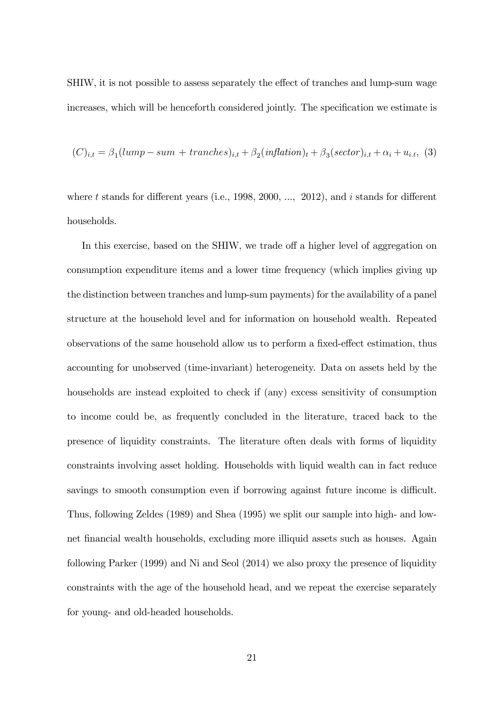SHIW, it is not possible to assess separately the effect of tranches and lump-sum wage increases, which will be henceforth considered jointly. The specification we estimate is

$$
(C)_{i,t} = \beta_1(lump-sum+tranches)_{i,t} + \beta_2(inflation)_{t} + \beta_3(sector)_{i,t} + \alpha_i + u_{i,t},
$$
 (3)

where t stands for different years (i.e., 1998, 2000, ..., 2012), and i stands for different households.

In this exercise, based on the SHIW, we trade off a higher level of aggregation on consumption expenditure items and a lower time frequency (which implies giving up the distinction between tranches and lump-sum payments) for the availability of a panel structure at the household level and for information on household wealth. Repeated observations of the same household allow us to perform a fixed-effect estimation, thus accounting for unobserved (time-invariant) heterogeneity. Data on assets held by the households are instead exploited to check if (any) excess sensitivity of consumption to income could be, as frequently concluded in the literature, traced back to the presence of liquidity constraints. The literature often deals with forms of liquidity constraints involving asset holding. Households with liquid wealth can in fact reduce savings to smooth consumption even if borrowing against future income is difficult. Thus, following Zeldes (1989) and Shea (1995) we split our sample into high- and lownet Önancial wealth households, excluding more illiquid assets such as houses. Again following Parker (1999) and Ni and Seol (2014) we also proxy the presence of liquidity constraints with the age of the household head, and we repeat the exercise separately for young- and old-headed households.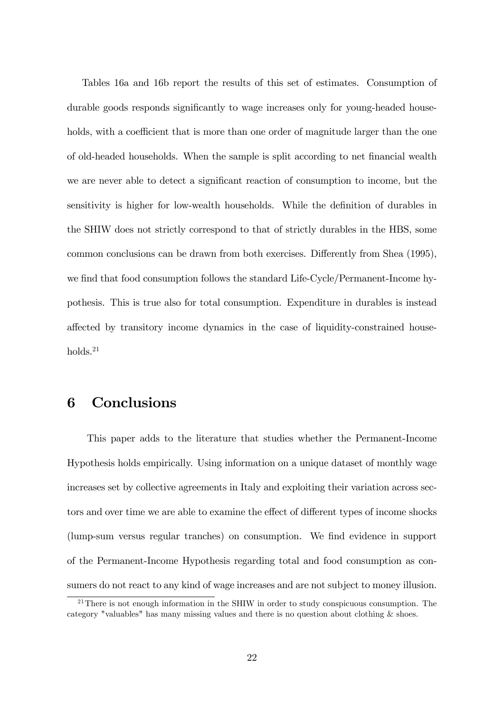Tables 16a and 16b report the results of this set of estimates. Consumption of durable goods responds significantly to wage increases only for young-headed households, with a coefficient that is more than one order of magnitude larger than the one of old-headed households. When the sample is split according to net financial wealth we are never able to detect a significant reaction of consumption to income, but the sensitivity is higher for low-wealth households. While the definition of durables in the SHIW does not strictly correspond to that of strictly durables in the HBS, some common conclusions can be drawn from both exercises. Differently from Shea (1995), we find that food consumption follows the standard Life-Cycle/Permanent-Income hypothesis. This is true also for total consumption. Expenditure in durables is instead affected by transitory income dynamics in the case of liquidity-constrained house $holds.<sup>21</sup>$ 

#### 6 Conclusions

This paper adds to the literature that studies whether the Permanent-Income Hypothesis holds empirically. Using information on a unique dataset of monthly wage increases set by collective agreements in Italy and exploiting their variation across sectors and over time we are able to examine the effect of different types of income shocks (lump-sum versus regular tranches) on consumption. We find evidence in support of the Permanent-Income Hypothesis regarding total and food consumption as consumers do not react to any kind of wage increases and are not subject to money illusion.

 $21$ There is not enough information in the SHIW in order to study conspicuous consumption. The category "valuables" has many missing values and there is no question about clothing & shoes.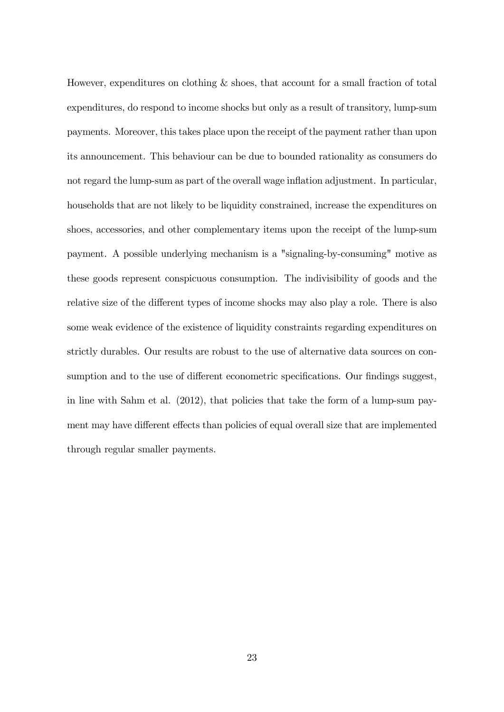However, expenditures on clothing & shoes, that account for a small fraction of total expenditures, do respond to income shocks but only as a result of transitory, lump-sum payments. Moreover, this takes place upon the receipt of the payment rather than upon its announcement. This behaviour can be due to bounded rationality as consumers do not regard the lump-sum as part of the overall wage inflation adjustment. In particular, households that are not likely to be liquidity constrained, increase the expenditures on shoes, accessories, and other complementary items upon the receipt of the lump-sum payment. A possible underlying mechanism is a "signaling-by-consuming" motive as these goods represent conspicuous consumption. The indivisibility of goods and the relative size of the different types of income shocks may also play a role. There is also some weak evidence of the existence of liquidity constraints regarding expenditures on strictly durables. Our results are robust to the use of alternative data sources on consumption and to the use of different econometric specifications. Our findings suggest, in line with Sahm et al. (2012), that policies that take the form of a lump-sum payment may have different effects than policies of equal overall size that are implemented through regular smaller payments.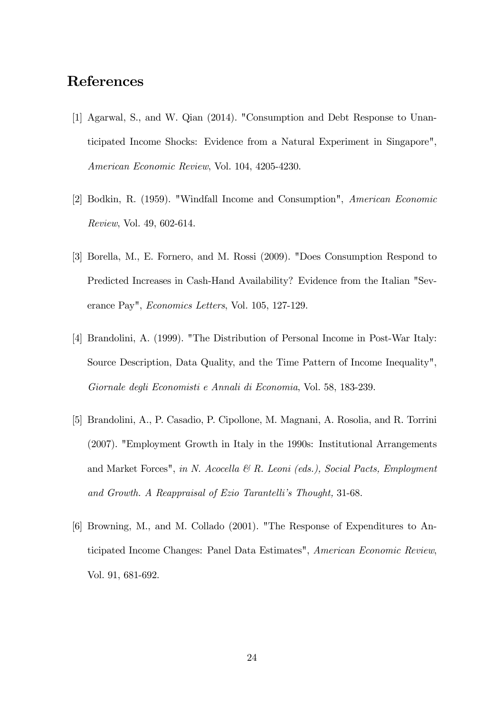### References

- [1] Agarwal, S., and W. Qian (2014). "Consumption and Debt Response to Unanticipated Income Shocks: Evidence from a Natural Experiment in Singapore", American Economic Review, Vol. 104, 4205-4230.
- [2] Bodkin, R. (1959). "Windfall Income and Consumption", American Economic Review, Vol. 49, 602-614.
- [3] Borella, M., E. Fornero, and M. Rossi (2009). "Does Consumption Respond to Predicted Increases in Cash-Hand Availability? Evidence from the Italian "Severance Pay", Economics Letters, Vol. 105, 127-129.
- [4] Brandolini, A. (1999). "The Distribution of Personal Income in Post-War Italy: Source Description, Data Quality, and the Time Pattern of Income Inequality", Giornale degli Economisti e Annali di Economia, Vol. 58, 183-239.
- [5] Brandolini, A., P. Casadio, P. Cipollone, M. Magnani, A. Rosolia, and R. Torrini (2007). "Employment Growth in Italy in the 1990s: Institutional Arrangements and Market Forces", in N. Acocella  $\mathcal{B}$  R. Leoni (eds.), Social Pacts, Employment and Growth. A Reappraisal of Ezio Tarantelli's Thought, 31-68.
- [6] Browning, M., and M. Collado (2001). "The Response of Expenditures to Anticipated Income Changes: Panel Data Estimates", American Economic Review, Vol. 91, 681-692.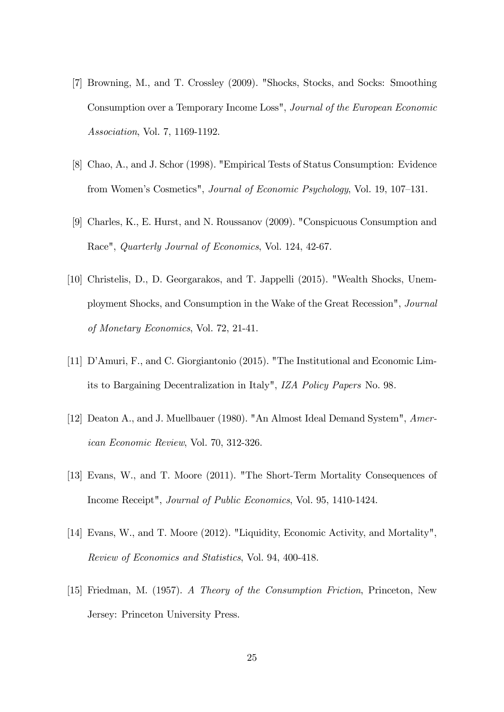- [7] Browning, M., and T. Crossley (2009). "Shocks, Stocks, and Socks: Smoothing Consumption over a Temporary Income Loss", Journal of the European Economic Association, Vol. 7, 1169-1192.
- [8] Chao, A., and J. Schor (1998). "Empirical Tests of Status Consumption: Evidence from Women's Cosmetics", *Journal of Economic Psychology*, Vol. 19, 107–131.
- [9] Charles, K., E. Hurst, and N. Roussanov (2009). "Conspicuous Consumption and Race", Quarterly Journal of Economics, Vol. 124, 42-67.
- [10] Christelis, D., D. Georgarakos, and T. Jappelli (2015). "Wealth Shocks, Unemployment Shocks, and Consumption in the Wake of the Great Recession", Journal of Monetary Economics, Vol. 72, 21-41.
- [11] D'Amuri, F., and C. Giorgiantonio (2015). "The Institutional and Economic Limits to Bargaining Decentralization in Italy", IZA Policy Papers No. 98.
- [12] Deaton A., and J. Muellbauer (1980). "An Almost Ideal Demand System", American Economic Review, Vol. 70, 312-326.
- [13] Evans, W., and T. Moore (2011). "The Short-Term Mortality Consequences of Income Receipt", Journal of Public Economics, Vol. 95, 1410-1424.
- [14] Evans, W., and T. Moore (2012). "Liquidity, Economic Activity, and Mortality", Review of Economics and Statistics, Vol. 94, 400-418.
- [15] Friedman, M. (1957). A Theory of the Consumption Friction, Princeton, New Jersey: Princeton University Press.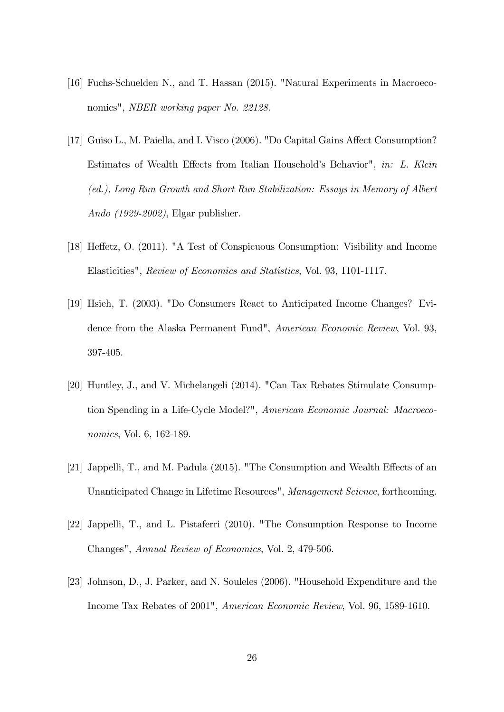- [16] Fuchs-Schuelden N., and T. Hassan (2015). "Natural Experiments in Macroeconomics", NBER working paper No. 22128.
- [17] Guiso L., M. Paiella, and I. Visco (2006). "Do Capital Gains Affect Consumption? Estimates of Wealth Effects from Italian Household's Behavior", in: L. Klein (ed.), Long Run Growth and Short Run Stabilization: Essays in Memory of Albert Ando (1929-2002), Elgar publisher.
- [18] Heffetz, O. (2011). "A Test of Conspicuous Consumption: Visibility and Income Elasticities", Review of Economics and Statistics, Vol. 93, 1101-1117.
- [19] Hsieh, T. (2003). "Do Consumers React to Anticipated Income Changes? Evidence from the Alaska Permanent Fund", American Economic Review, Vol. 93, 397-405.
- [20] Huntley, J., and V. Michelangeli (2014). "Can Tax Rebates Stimulate Consumption Spending in a Life-Cycle Model?", American Economic Journal: Macroeconomics, Vol. 6, 162-189.
- [21] Jappelli, T., and M. Padula (2015). "The Consumption and Wealth Effects of an Unanticipated Change in Lifetime Resources", Management Science, forthcoming.
- [22] Jappelli, T., and L. Pistaferri (2010). "The Consumption Response to Income Changes", Annual Review of Economics, Vol. 2, 479-506.
- [23] Johnson, D., J. Parker, and N. Souleles (2006). "Household Expenditure and the Income Tax Rebates of 2001", American Economic Review, Vol. 96, 1589-1610.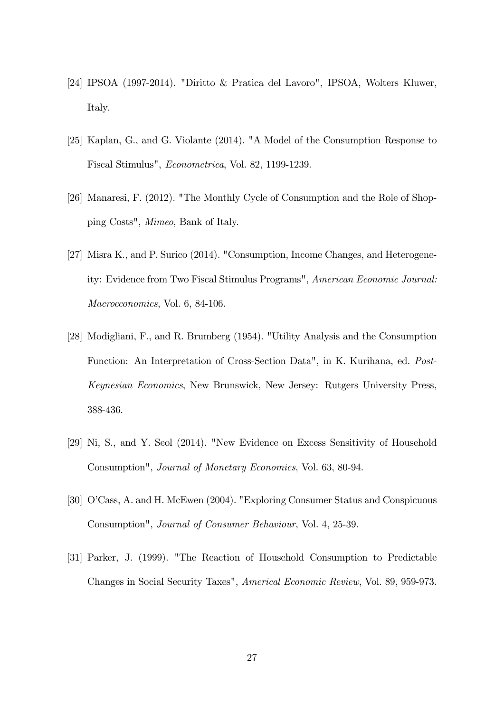- [24] IPSOA (1997-2014). "Diritto & Pratica del Lavoro", IPSOA, Wolters Kluwer, Italy.
- [25] Kaplan, G., and G. Violante (2014). "A Model of the Consumption Response to Fiscal Stimulus", Econometrica, Vol. 82, 1199-1239.
- [26] Manaresi, F. (2012). "The Monthly Cycle of Consumption and the Role of Shopping Costs", Mimeo, Bank of Italy.
- [27] Misra K., and P. Surico (2014). "Consumption, Income Changes, and Heterogeneity: Evidence from Two Fiscal Stimulus Programs", American Economic Journal: Macroeconomics, Vol. 6, 84-106.
- [28] Modigliani, F., and R. Brumberg (1954). "Utility Analysis and the Consumption Function: An Interpretation of Cross-Section Data", in K. Kurihana, ed. Post-Keynesian Economics, New Brunswick, New Jersey: Rutgers University Press, 388-436.
- [29] Ni, S., and Y. Seol (2014). "New Evidence on Excess Sensitivity of Household Consumption", Journal of Monetary Economics, Vol. 63, 80-94.
- [30] O'Cass, A. and H. McEwen (2004). "Exploring Consumer Status and Conspicuous Consumption", Journal of Consumer Behaviour, Vol. 4, 25-39.
- [31] Parker, J. (1999). "The Reaction of Household Consumption to Predictable Changes in Social Security Taxes", Americal Economic Review, Vol. 89, 959-973.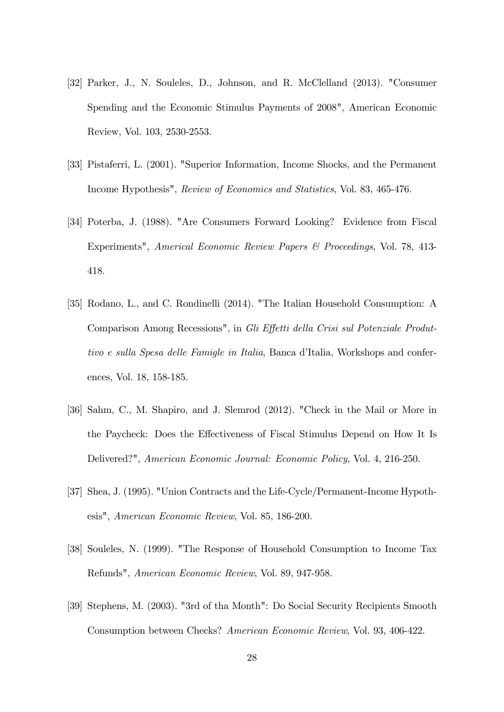- [32] Parker, J., N. Souleles, D., Johnson, and R. McClelland (2013). "Consumer Spending and the Economic Stimulus Payments of 2008", American Economic Review, Vol. 103, 2530-2553.
- [33] Pistaferri, L. (2001). "Superior Information, Income Shocks, and the Permanent Income Hypothesis", Review of Economics and Statistics, Vol. 83, 465-476.
- [34] Poterba, J. (1988). "Are Consumers Forward Looking? Evidence from Fiscal Experiments", Americal Economic Review Papers & Proceedings, Vol. 78, 413- 418.
- [35] Rodano, L., and C. Rondinelli (2014). "The Italian Household Consumption: A Comparison Among Recessions", in Gli Effetti della Crisi sul Potenziale Produttivo e sulla Spesa delle Famigle in Italia, Banca d'Italia, Workshops and conferences, Vol. 18, 158-185.
- [36] Sahm, C., M. Shapiro, and J. Slemrod (2012). "Check in the Mail or More in the Paycheck: Does the Effectiveness of Fiscal Stimulus Depend on How It Is Delivered?", American Economic Journal: Economic Policy, Vol. 4, 216-250.
- [37] Shea, J. (1995). "Union Contracts and the Life-Cycle/Permanent-Income Hypothesis", American Economic Review, Vol. 85, 186-200.
- [38] Souleles, N. (1999). "The Response of Household Consumption to Income Tax Refunds", American Economic Review, Vol. 89, 947-958.
- [39] Stephens, M. (2003). "3rd of tha Month": Do Social Security Recipients Smooth Consumption between Checks? American Economic Review, Vol. 93, 406-422.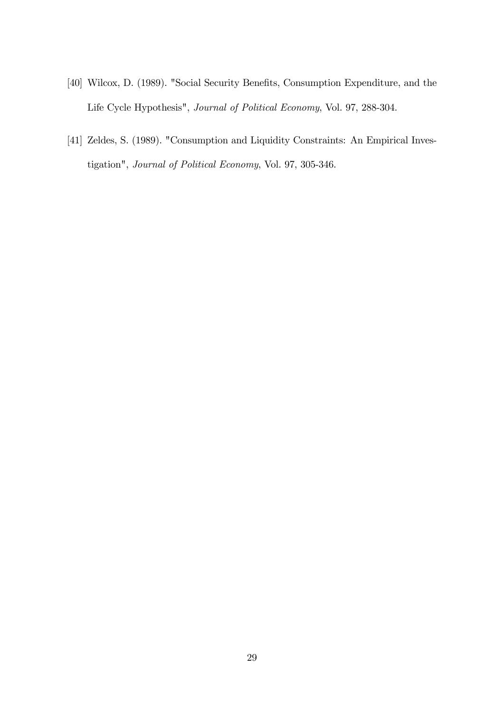- [40] Wilcox, D. (1989). "Social Security Benefits, Consumption Expenditure, and the Life Cycle Hypothesis", Journal of Political Economy, Vol. 97, 288-304.
- [41] Zeldes, S. (1989). "Consumption and Liquidity Constraints: An Empirical Investigation", Journal of Political Economy, Vol. 97, 305-346.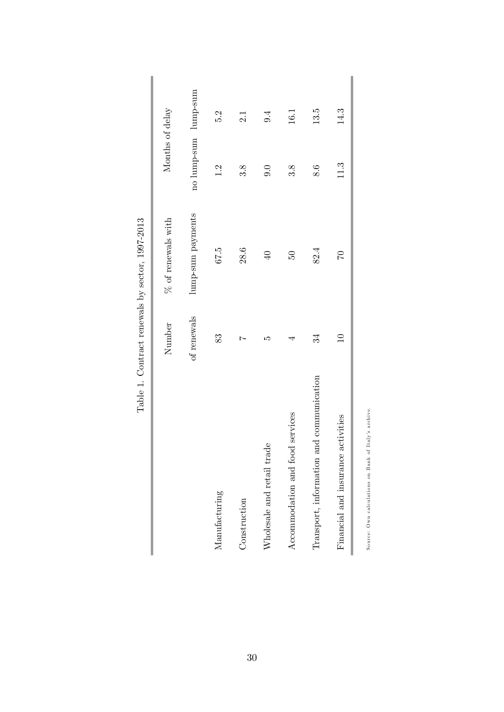|                                          | Number          | $\%$ of renewals with<br>, | Months of delay      |      |
|------------------------------------------|-----------------|----------------------------|----------------------|------|
|                                          | of renewals     | lump-sum payments          | no lump-sum lump-sum |      |
| Manufacturing                            | 83              | 67.5                       | 1.2                  | 5.2  |
| Construction                             | Ņ               | 28.6                       | 3.8                  | 2.1  |
| Wholesale and retail trade               | LC)             | $\overline{40}$            | 0.0                  | 9.4  |
| Accommodation and food services          | 4               | $50\,$                     | 3.8                  | 16.1 |
| Transport, information and communication | 34              | 82.4                       | 8.6                  | 13.5 |
| Financial and insurance activities       | $\overline{10}$ | $\overline{C}$             | 11.3                 | 14.3 |
|                                          |                 |                            |                      |      |

Source: Own calculations on Bank of Italy's archive.

Table 1. Contract renewals by sector, 1997-2013 Table 1. Contract renewals by sector, 1997-2013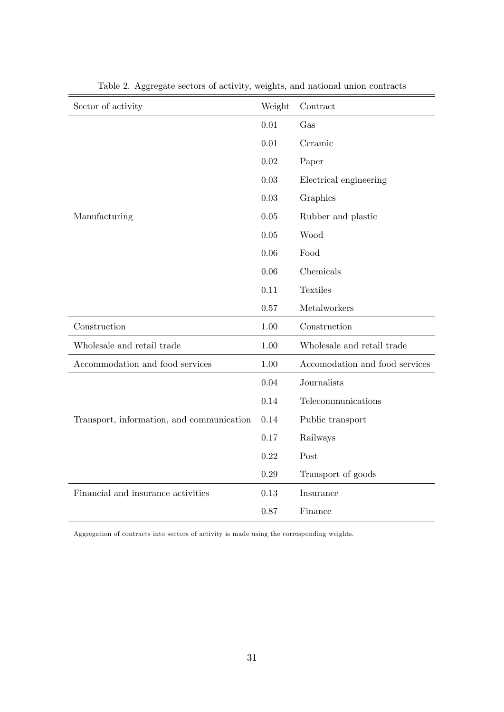| Sector of activity                        | Weight | Contract                       |
|-------------------------------------------|--------|--------------------------------|
|                                           | 0.01   | Gas                            |
|                                           | 0.01   | Ceramic                        |
|                                           | 0.02   | Paper                          |
|                                           | 0.03   | Electrical engineering         |
|                                           | 0.03   | Graphics                       |
| Manufacturing                             | 0.05   | Rubber and plastic             |
|                                           | 0.05   | Wood                           |
|                                           | 0.06   | Food                           |
|                                           | 0.06   | Chemicals                      |
|                                           | 0.11   | <b>Textiles</b>                |
|                                           | 0.57   | Metalworkers                   |
| Construction                              | 1.00   | Construction                   |
| Wholesale and retail trade                | 1.00   | Wholesale and retail trade     |
| Accommodation and food services           | 1.00   | Accomodation and food services |
|                                           | 0.04   | Journalists                    |
|                                           | 0.14   | Telecommunications             |
| Transport, information, and communication | 0.14   | Public transport               |
|                                           | 0.17   | Railways                       |
|                                           | 0.22   | Post                           |
|                                           | 0.29   | Transport of goods             |
| Financial and insurance activities        | 0.13   | Insurance                      |
|                                           | 0.87   | Finance                        |

Table 2. Aggregate sectors of activity, weights, and national union contracts

Aggregation of contracts into sectors of activity is made using the corresponding weights.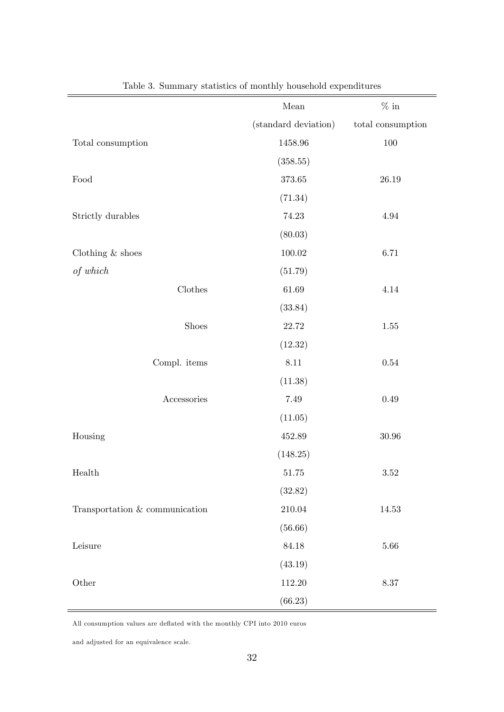|                                | Mean                 | $\%$ in                |
|--------------------------------|----------------------|------------------------|
|                                | (standard deviation) | $\,$ total consumption |
| Total consumption              | $1458.96\,$          | $100\,$                |
|                                | (358.55)             |                        |
| $\operatorname{Food}$          | $373.65\,$           | $26.19\,$              |
|                                | (71.34)              |                        |
| Strictly durables              | 74.23                | $4.94\,$               |
|                                | (80.03)              |                        |
| Clothing $\&$ shoes            | $100.02\,$           | $6.71\,$               |
| $of\ which$                    | (51.79)              |                        |
| $\rm Clothes$                  | $61.69\,$            | 4.14                   |
|                                | (33.84)              |                        |
| Shoes                          | 22.72                | $1.55\,$               |
|                                | (12.32)              |                        |
| Compl. items                   | $8.11\,$             | $0.54\,$               |
|                                | (11.38)              |                        |
| ${\bf Accessories}$            | 7.49                 | $0.49\,$               |
|                                | (11.05)              |                        |
| Housing                        | 452.89               | $30.96\,$              |
|                                | (148.25)             |                        |
| Health                         | $51.75\,$            | $3.52\,$               |
|                                | (32.82)              |                        |
| Transportation & communication | 210.04               | $14.53\,$              |
|                                | (56.66)              |                        |
| Leisure                        | 84.18                | $5.66\,$               |
|                                | (43.19)              |                        |
| Other                          | 112.20               | $8.37\,$               |
|                                | (66.23)              |                        |

Table 3. Summary statistics of monthly household expenditures

All consumption values are deflated with the monthly CPI into 2010 euros

and adjusted for an equivalence scale.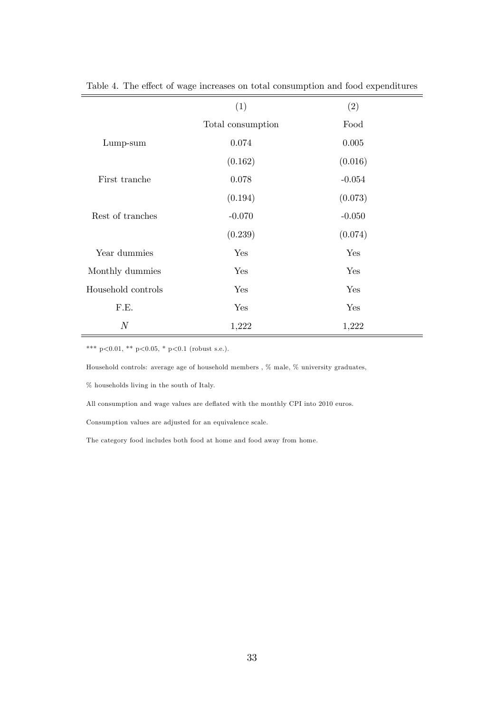|                    | (1)               | (2)       |
|--------------------|-------------------|-----------|
|                    | Total consumption | Food      |
| Lump-sum           | 0.074             | $0.005\,$ |
|                    | (0.162)           | (0.016)   |
| First tranche      | 0.078             | $-0.054$  |
|                    | (0.194)           | (0.073)   |
| Rest of tranches   | $-0.070$          | $-0.050$  |
|                    | (0.239)           | (0.074)   |
| Year dummies       | Yes               | Yes       |
| Monthly dummies    | Yes               | Yes       |
| Household controls | Yes               | Yes       |
| F.E.               | Yes               | Yes       |
| $\boldsymbol{N}$   | 1,222             | 1,222     |

Table 4. The effect of wage increases on total consumption and food expenditures

Household controls: average age of household members , % male, % university graduates,

 $\%$  households living in the south of Italy.

All consumption and wage values are deflated with the monthly CPI into 2010 euros.

Consumption values are adjusted for an equivalence scale.

The category food includes both food at home and food away from home.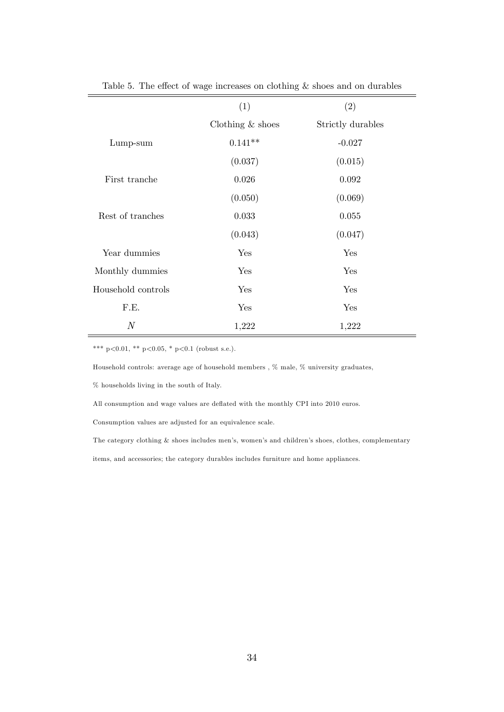|                    | (1)                | (2)               |
|--------------------|--------------------|-------------------|
|                    | Clothing $&$ shoes | Strictly durables |
| $Lump-sum$         | $0.141**$          | $-0.027$          |
|                    | (0.037)            | (0.015)           |
| First tranche      | 0.026              | 0.092             |
|                    | (0.050)            | (0.069)           |
| Rest of tranches   | 0.033              | 0.055             |
|                    | (0.043)            | (0.047)           |
| Year dummies       | Yes                | Yes               |
| Monthly dummies    | Yes                | Yes               |
| Household controls | Yes                | Yes               |
| F.E.               | Yes                | Yes               |
| $\boldsymbol{N}$   | 1,222              | 1,222             |

Table 5. The effect of wage increases on clothing  $\&$  shoes and on durables

\*\*\* p<0.01, \*\* p<0.05, \* p<0.1 (robust s.e.).

Household controls: average age of household members , % male, % university graduates,

 $\%$  households living in the south of Italy.

All consumption and wage values are deflated with the monthly CPI into 2010 euros.

Consumption values are adjusted for an equivalence scale.

The category clothing & shoes includes men's, women's and children's shoes, clothes, complementary items, and accessories; the category durables includes furniture and home appliances.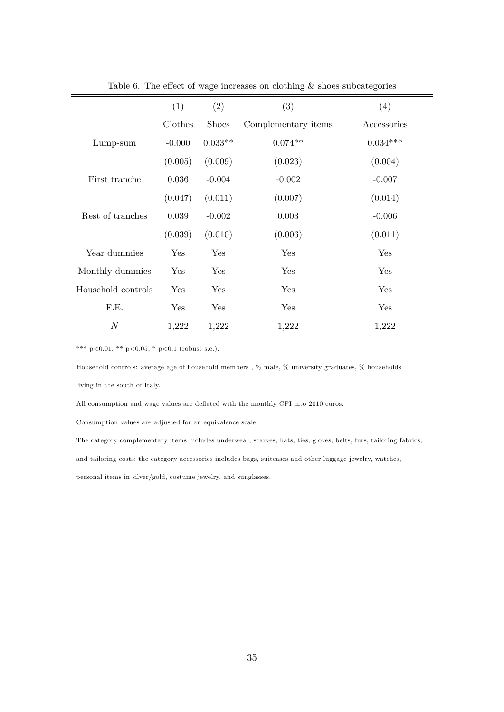|                    | (1)      | (2)          | (3)                 | (4)         |
|--------------------|----------|--------------|---------------------|-------------|
|                    | Clothes  | <b>Shoes</b> | Complementary items | Accessories |
| Lump-sum           | $-0.000$ | $0.033**$    | $0.074**$           | $0.034***$  |
|                    | (0.005)  | (0.009)      | (0.023)             | (0.004)     |
| First tranche      | 0.036    | $-0.004$     | $-0.002$            | $-0.007$    |
|                    | (0.047)  | (0.011)      | (0.007)             | (0.014)     |
| Rest of tranches   | 0.039    | $-0.002$     | 0.003               | $-0.006$    |
|                    | (0.039)  | (0.010)      | (0.006)             | (0.011)     |
| Year dummies       | Yes      | Yes          | Yes                 | Yes         |
| Monthly dummies    | Yes      | Yes          | Yes                 | Yes         |
| Household controls | Yes      | Yes          | Yes                 | Yes         |
| F.E.               | Yes      | Yes          | Yes                 | Yes         |
| $\mathcal N$       | 1,222    | 1,222        | 1,222               | 1,222       |

Table 6. The effect of wage increases on clothing  $&$  shoes subcategories

Household controls: average age of household members , % male, % university graduates, % households living in the south of Italy.

All consumption and wage values are deflated with the monthly CPI into 2010 euros.

Consumption values are adjusted for an equivalence scale.

The category complementary items includes underwear, scarves, hats, ties, gloves, belts, furs, tailoring fabrics, and tailoring costs; the category accessories includes bags, suitcases and other luggage jewelry, watches, personal items in silver/gold, costume jewelry, and sunglasses.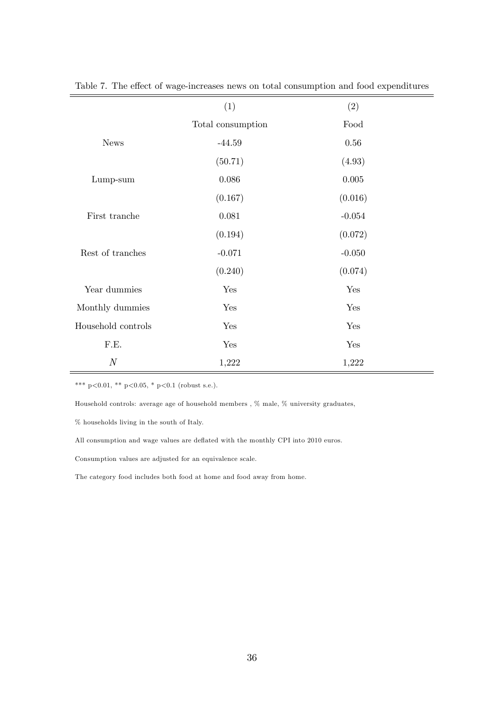| (1)               | (2)       |  |
|-------------------|-----------|--|
| Total consumption | Food      |  |
| $-44.59$          | $0.56\,$  |  |
| (50.71)           | (4.93)    |  |
| 0.086             | $0.005\,$ |  |
| (0.167)           | (0.016)   |  |
| 0.081             | $-0.054$  |  |
| (0.194)           | (0.072)   |  |
| $-0.071$          | $-0.050$  |  |
| (0.240)           | (0.074)   |  |
| Yes               | Yes       |  |
| Yes               | Yes       |  |
| Yes               | Yes       |  |
| Yes               | Yes       |  |
| 1,222             | 1,222     |  |
|                   |           |  |

Table 7. The effect of wage-increases news on total consumption and food expenditures

Household controls: average age of household members , % male, % university graduates,

% households living in the south of Italy.

All consumption and wage values are deflated with the monthly CPI into 2010 euros.

Consumption values are adjusted for an equivalence scale.

The category food includes both food at home and food away from home.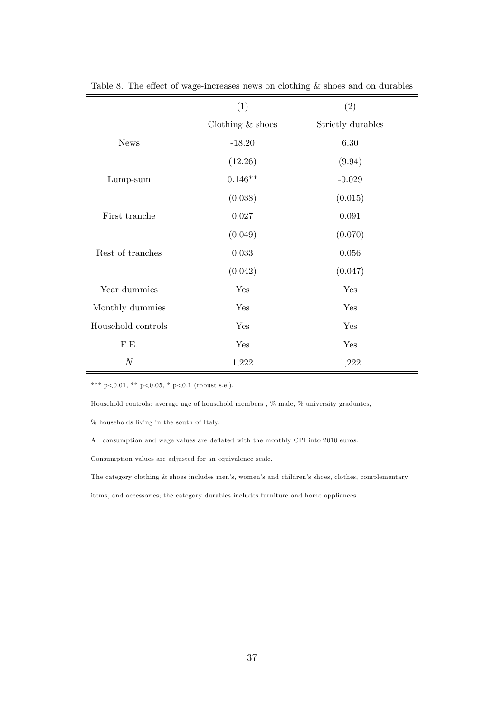|                    | (1)                | (2)               |
|--------------------|--------------------|-------------------|
|                    | Clothing $&$ shoes | Strictly durables |
| <b>News</b>        | $-18.20$           | 6.30              |
|                    | (12.26)            | (9.94)            |
| Lump-sum           | $0.146**$          | $-0.029$          |
|                    | (0.038)            | (0.015)           |
| First tranche      | 0.027              | 0.091             |
|                    | (0.049)            | (0.070)           |
| Rest of tranches   | 0.033              | $0.056\,$         |
|                    | (0.042)            | (0.047)           |
| Year dummies       | Yes                | Yes               |
| Monthly dummies    | Yes                | Yes               |
| Household controls | Yes                | Yes               |
| F.E.               | Yes                | Yes               |
| $\boldsymbol{N}$   | 1,222              | 1,222             |

Table 8. The effect of wage-increases news on clothing  $\&$  shoes and on durables

Household controls: average age of household members , % male, % university graduates,

% households living in the south of Italy.

All consumption and wage values are deflated with the monthly CPI into 2010 euros.

Consumption values are adjusted for an equivalence scale.

The category clothing  $&$  shoes includes men's, women's and children's shoes, clothes, complementary

items, and accessories; the category durables includes furniture and home appliances.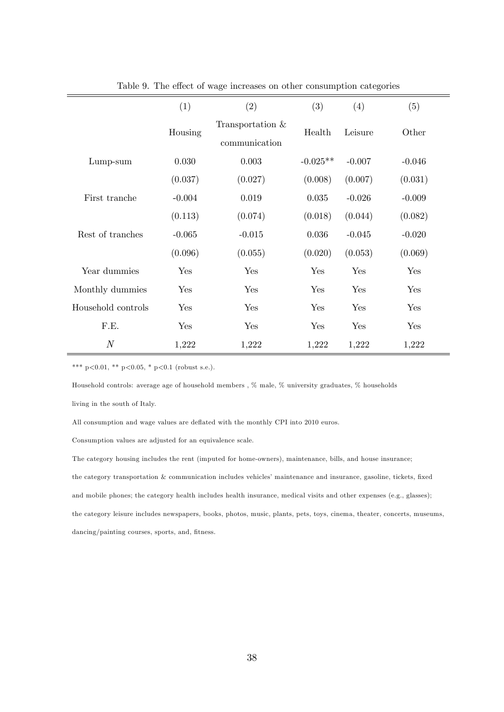|                    | (1)      | (2)                               | (3)        | (4)      | (5)      |
|--------------------|----------|-----------------------------------|------------|----------|----------|
|                    | Housing  | Transportation &<br>communication | Health     | Leisure  | Other    |
| Lump-sum           | 0.030    | 0.003                             | $-0.025**$ | $-0.007$ | $-0.046$ |
|                    | (0.037)  | (0.027)                           | (0.008)    | (0.007)  | (0.031)  |
| First tranche      | $-0.004$ | 0.019                             | 0.035      | $-0.026$ | $-0.009$ |
|                    | (0.113)  | (0.074)                           | (0.018)    | (0.044)  | (0.082)  |
| Rest of tranches   | $-0.065$ | $-0.015$                          | 0.036      | $-0.045$ | $-0.020$ |
|                    | (0.096)  | (0.055)                           | (0.020)    | (0.053)  | (0.069)  |
| Year dummies       | Yes      | Yes                               | Yes        | Yes      | Yes      |
| Monthly dummies    | Yes      | Yes                               | Yes        | Yes      | Yes      |
| Household controls | Yes      | Yes                               | Yes        | Yes      | Yes      |
| F.E.               | Yes      | Yes                               | Yes        | Yes      | Yes      |
| $\boldsymbol{N}$   | 1,222    | 1,222                             | 1,222      | 1,222    | 1,222    |

Table 9. The effect of wage increases on other consumption categories

Household controls: average age of household members , % male, % university graduates, % households

living in the south of Italy.

All consumption and wage values are deflated with the monthly CPI into 2010 euros.

Consumption values are adjusted for an equivalence scale.

The category housing includes the rent (imputed for home-owners), maintenance, bills, and house insurance; the category transportation & communication includes vehicles' maintenance and insurance, gasoline, tickets, fixed and mobile phones; the category health includes health insurance, medical visits and other expenses (e.g., glasses); the category leisure includes newspapers, books, photos, music, plants, pets, toys, cinema, theater, concerts, museums,  $\rm{dancing/pairting}$  courses, sports, and, fitness.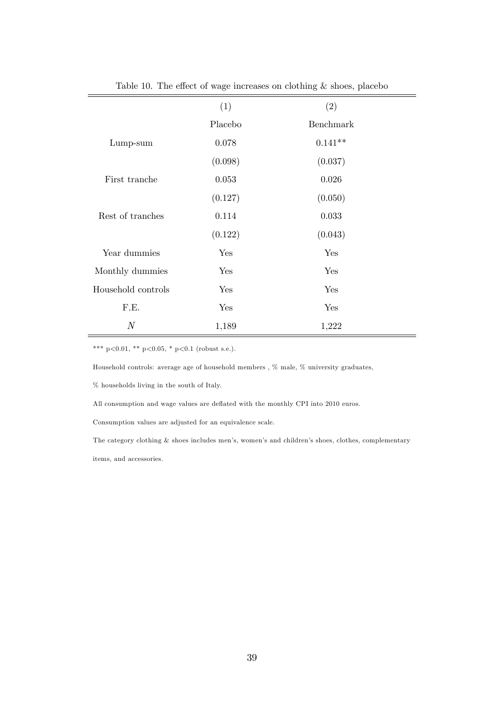|                    | (1)     | (2)       |
|--------------------|---------|-----------|
|                    | Placebo | Benchmark |
| $Lump-sum$         | 0.078   | $0.141**$ |
|                    | (0.098) | (0.037)   |
| First tranche      | 0.053   | 0.026     |
|                    | (0.127) | (0.050)   |
| Rest of tranches   | 0.114   | 0.033     |
|                    | (0.122) | (0.043)   |
| Year dummies       | Yes     | Yes       |
| Monthly dummies    | Yes     | Yes       |
| Household controls | Yes     | Yes       |
| F.E.               | Yes     | Yes       |
| $\boldsymbol{N}$   | 1,189   | 1,222     |

Table 10. The effect of wage increases on clothing  $\&$  shoes, placebo

Household controls: average age of household members , % male, % university graduates,

 $\%$  households living in the south of Italy.

All consumption and wage values are deflated with the monthly CPI into 2010 euros.

Consumption values are adjusted for an equivalence scale.

The category clothing & shoes includes men's, women's and children's shoes, clothes, complementary items, and accessories.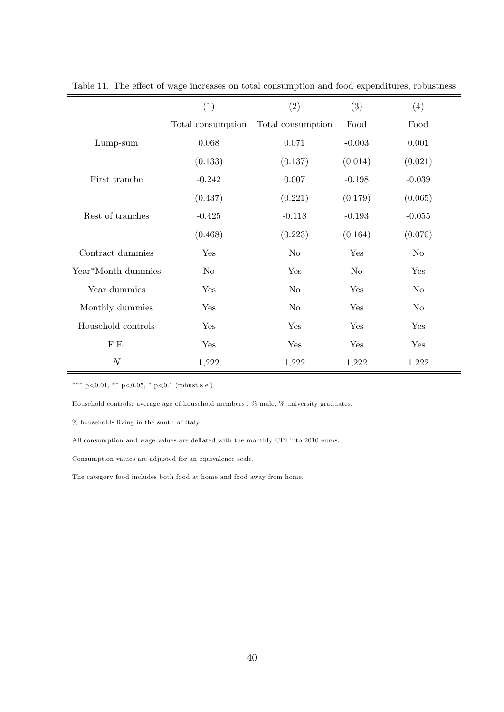|                    | (1)               | (2)               | (3)      | (4)      |
|--------------------|-------------------|-------------------|----------|----------|
|                    | Total consumption | Total consumption | Food     | Food     |
| Lump-sum           | 0.068             | 0.071             | $-0.003$ | 0.001    |
|                    | (0.133)           | (0.137)           | (0.014)  | (0.021)  |
| First tranche      | $-0.242$          | 0.007             | $-0.198$ | $-0.039$ |
|                    | (0.437)           | (0.221)           | (0.179)  | (0.065)  |
| Rest of tranches   | $-0.425$          | $-0.118$          | $-0.193$ | $-0.055$ |
|                    | (0.468)           | (0.223)           | (0.164)  | (0.070)  |
| Contract dummies   | Yes               | $\rm No$          | Yes      | $\rm No$ |
| Year*Month dummies | No.               | Yes               | $\rm No$ | Yes      |
| Year dummies       | Yes               | N <sub>o</sub>    | Yes      | $\rm No$ |
| Monthly dummies    | Yes               | $\rm No$          | Yes      | $\rm No$ |
| Household controls | Yes               | Yes               | Yes      | Yes      |
| F.E.               | Yes               | Yes               | Yes      | Yes      |
| $\boldsymbol{N}$   | 1,222             | 1,222             | 1,222    | 1,222    |

Table 11. The effect of wage increases on total consumption and food expenditures, robustness

Household controls: average age of household members , % male, % university graduates,

% households living in the south of Italy.

All consumption and wage values are deflated with the monthly CPI into 2010 euros.

Consumption values are adjusted for an equivalence scale.

The category food includes both food at home and food away from home.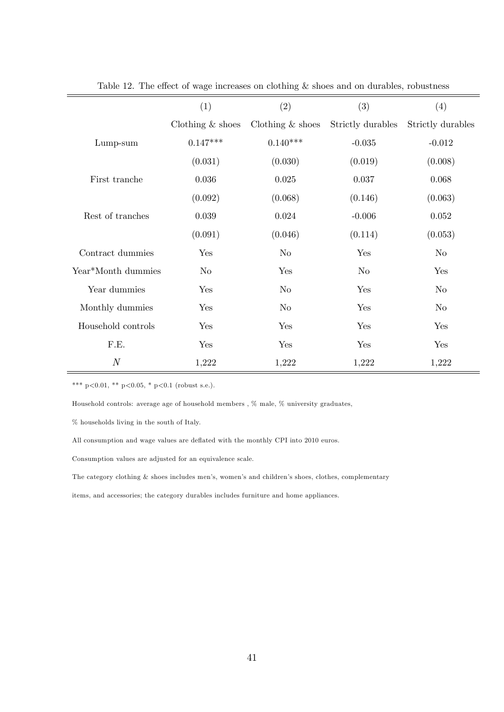|                    | (1)                | (2)                | (3)               | (4)               |
|--------------------|--------------------|--------------------|-------------------|-------------------|
|                    | Clothing $&$ shoes | Clothing $&$ shoes | Strictly durables | Strictly durables |
| Lump-sum           | $0.147***$         | $0.140***$         | $-0.035$          | $-0.012$          |
|                    | (0.031)            | (0.030)            | (0.019)           | (0.008)           |
| First tranche      | 0.036              | 0.025              | 0.037             | 0.068             |
|                    | (0.092)            | (0.068)            | (0.146)           | (0.063)           |
| Rest of tranches   | 0.039              | 0.024              | $-0.006$          | 0.052             |
|                    | (0.091)            | (0.046)            | (0.114)           | (0.053)           |
| Contract dummies   | Yes                | $\rm No$           | Yes               | $\rm No$          |
| Year*Month dummies | $\rm No$           | Yes                | $\rm No$          | Yes               |
| Year dummies       | Yes                | $\rm No$           | Yes               | $\rm No$          |
| Monthly dummies    | Yes                | $\rm No$           | Yes               | $\rm No$          |
| Household controls | Yes                | Yes                | Yes               | Yes               |
| F.E.               | Yes                | Yes                | Yes               | Yes               |
| $\boldsymbol{N}$   | 1,222              | 1,222              | 1,222             | 1,222             |

Table 12. The effect of wage increases on clothing  $&$  shoes and on durables, robustness

Household controls: average age of household members , % male, % university graduates,

% households living in the south of Italy.

All consumption and wage values are deflated with the monthly CPI into 2010 euros.

Consumption values are adjusted for an equivalence scale.

The category clothing  $&$  shoes includes men's, women's and children's shoes, clothes, complementary

items, and accessories; the category durables includes furniture and home appliances.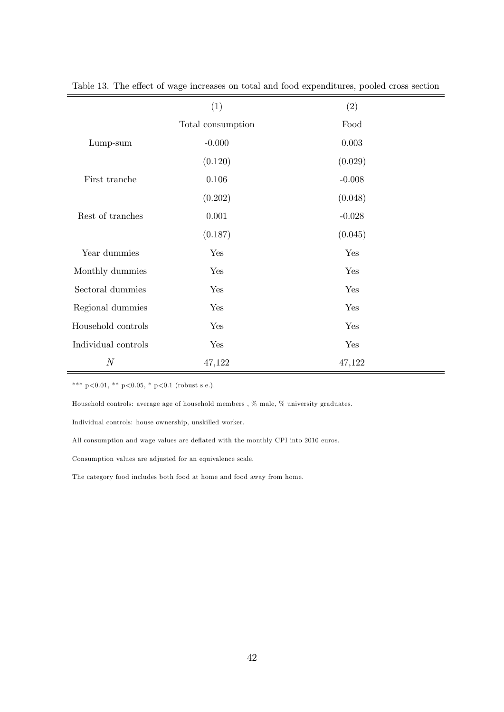|                     | (1)               | (2)       |
|---------------------|-------------------|-----------|
|                     | Total consumption | Food      |
| Lump-sum            | $-0.000$          | $0.003\,$ |
|                     | (0.120)           | (0.029)   |
| First tranche       | 0.106             | $-0.008$  |
|                     | (0.202)           | (0.048)   |
| Rest of tranches    | 0.001             | $-0.028$  |
|                     | (0.187)           | (0.045)   |
| Year dummies        | Yes               | Yes       |
| Monthly dummies     | Yes               | Yes       |
| Sectoral dummies    | Yes               | Yes       |
| Regional dummies    | Yes               | Yes       |
| Household controls  | Yes               | Yes       |
| Individual controls | Yes               | Yes       |
| $\boldsymbol{N}$    | 47,122            | 47,122    |

Table 13. The effect of wage increases on total and food expenditures, pooled cross section

Household controls: average age of household members ,  $\%$  male,  $\%$  university graduates.

Individual controls: house ownership, unskilled worker.

All consumption and wage values are deflated with the monthly CPI into 2010 euros.

Consumption values are adjusted for an equivalence scale.

The category food includes both food at home and food away from home.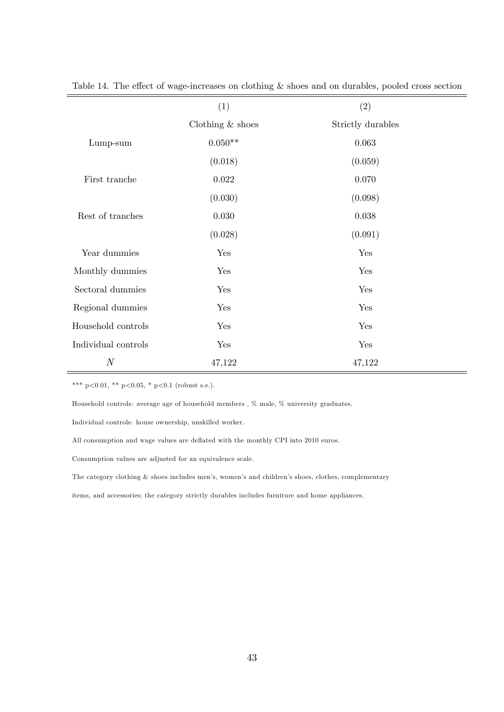|                     | (1)                | (2)               |
|---------------------|--------------------|-------------------|
|                     | Clothing $&$ shoes | Strictly durables |
| $Lump-sum$          | $0.050**$          | 0.063             |
|                     | (0.018)            | (0.059)           |
| First tranche       | $0.022\,$          | 0.070             |
|                     | (0.030)            | (0.098)           |
| Rest of tranches    | 0.030              | 0.038             |
|                     | (0.028)            | (0.091)           |
| Year dummies        | Yes                | Yes               |
| Monthly dummies     | Yes                | Yes               |
| Sectoral dummies    | Yes                | Yes               |
| Regional dummies    | Yes                | Yes               |
| Household controls  | Yes                | Yes               |
| Individual controls | Yes                | Yes               |
| $\boldsymbol{N}$    | 47,122             | 47,122            |

Table 14. The effect of wage-increases on clothing  $\&$  shoes and on durables, pooled cross section

\*\*\* p<0.01, \*\* p<0.05, \* p<0.1 (robust s.e.).

Household controls: average age of household members ,  $\%$  male,  $\%$  university graduates.

Individual controls: house ownership, unskilled worker.

All consumption and wage values are deflated with the monthly CPI into 2010 euros.

Consumption values are adjusted for an equivalence scale.

The category clothing  $&$  shoes includes men's, women's and children's shoes, clothes, complementary

items, and accessories; the category strictly durables includes furniture and home appliances.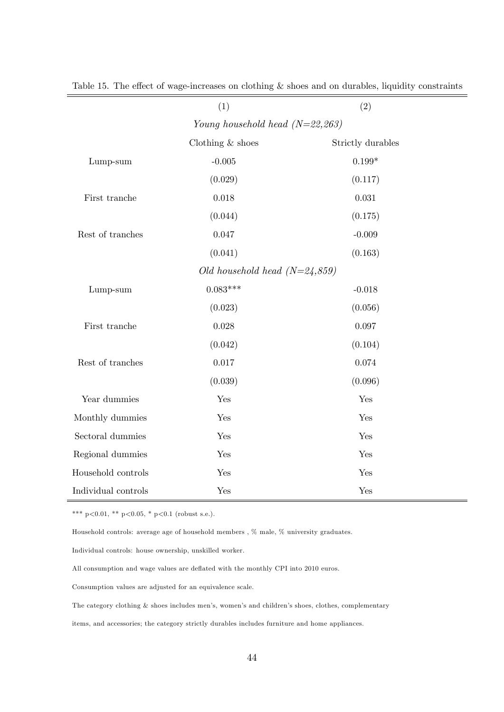|                                   | (1)                | (2)               |  |  |
|-----------------------------------|--------------------|-------------------|--|--|
| Young household head $(N=22,263)$ |                    |                   |  |  |
|                                   | Clothing $&$ shoes | Strictly durables |  |  |
| Lump-sum                          | $-0.005$           | $0.199*$          |  |  |
|                                   | (0.029)            | (0.117)           |  |  |
| First tranche                     | $0.018\,$          | $\,0.031\,$       |  |  |
|                                   | (0.044)            | (0.175)           |  |  |
| Rest of tranches                  | $0.047\,$          | $-0.009$          |  |  |
|                                   | (0.041)            | (0.163)           |  |  |
| Old household head $(N=24,859)$   |                    |                   |  |  |
| Lump-sum                          | $0.083***$         | $-0.018$          |  |  |
|                                   | (0.023)            | (0.056)           |  |  |
| First tranche                     | $0.028\,$          | 0.097             |  |  |
|                                   | (0.042)            | (0.104)           |  |  |
| Rest of tranches                  | $0.017\,$          | 0.074             |  |  |
|                                   | (0.039)            | (0.096)           |  |  |
| Year dummies                      | Yes                | Yes               |  |  |
| Monthly dummies                   | Yes                | Yes               |  |  |
| Sectoral dummies                  | Yes                | Yes               |  |  |
| Regional dummies                  | Yes                | Yes               |  |  |
| Household controls                | Yes                | Yes               |  |  |
| Individual controls               | Yes                | Yes               |  |  |

Table 15. The effect of wage-increases on clothing  $\&$  shoes and on durables, liquidity constraints

\*\*\* p<0.01, \*\* p<0.05, \* p<0.1 (robust s.e.).

Household controls: average age of household members , % male, % university graduates.

Individual controls: house ownership, unskilled worker.

All consumption and wage values are deflated with the monthly CPI into 2010 euros.

Consumption values are adjusted for an equivalence scale.

The category clothing & shoes includes men's, women's and children's shoes, clothes, complementary

items, and accessories; the category strictly durables includes furniture and home appliances.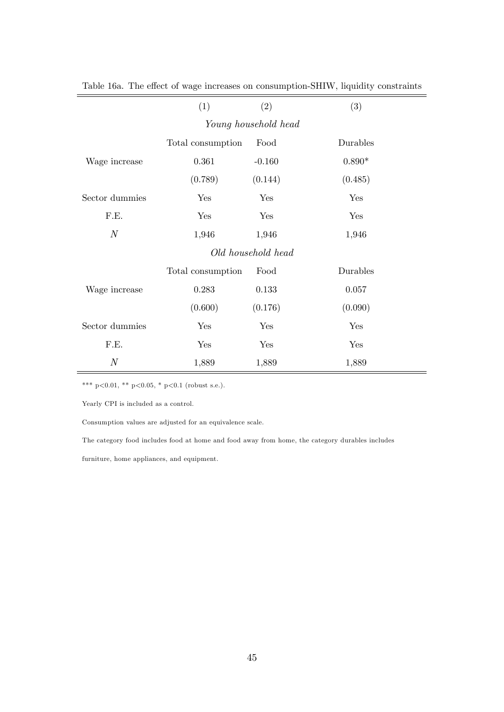|                      | (1)               | (2)      | (3)      |  |
|----------------------|-------------------|----------|----------|--|
| Young household head |                   |          |          |  |
|                      | Total consumption | Food     | Durables |  |
| Wage increase        | 0.361             | $-0.160$ | $0.890*$ |  |
|                      | (0.789)           | (0.144)  | (0.485)  |  |
| Sector dummies       | Yes               | Yes      | Yes      |  |
| F.E.                 | Yes               | Yes      | Yes      |  |
| $\cal N$             | 1,946             | 1,946    | 1,946    |  |
| Old household head   |                   |          |          |  |
|                      | Total consumption | Food     | Durables |  |
| Wage increase        | 0.283             | 0.133    | 0.057    |  |
|                      | (0.600)           | (0.176)  | (0.090)  |  |
| Sector dummies       | Yes               | Yes      | Yes      |  |
| F.E.                 | Yes               | Yes      | Yes      |  |
| $\boldsymbol{N}$     | 1,889             | 1,889    | 1,889    |  |

Table 16a. The effect of wage increases on consumption-SHIW, liquidity constraints  $\overline{\phantom{a}}$ 

\*\*\* p<0.01, \*\* p<0.05, \* p<0.1 (robust s.e.).

Yearly CPI is included as a control.

Consumption values are adjusted for an equivalence scale.

The category food includes food at home and food away from home, the category durables includes

furniture, home appliances, and equipment.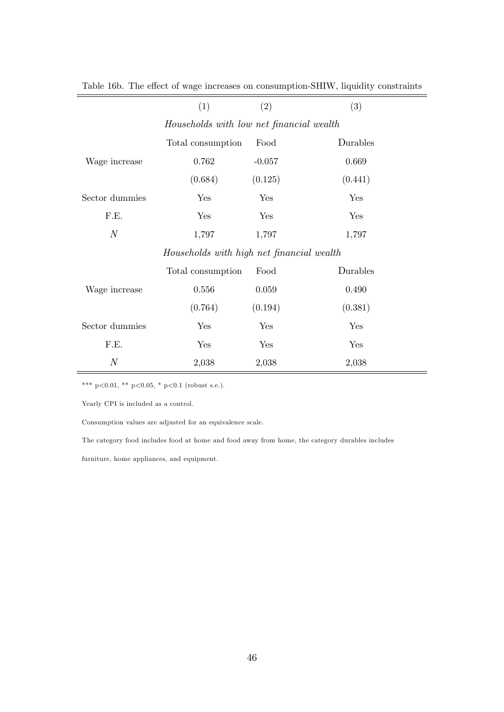|                                          | (1)                                       | (2)      | (3)      |
|------------------------------------------|-------------------------------------------|----------|----------|
| Households with low net financial wealth |                                           |          |          |
|                                          | Total consumption                         | Food     | Durables |
| Wage increase                            | 0.762                                     | $-0.057$ | 0.669    |
|                                          | (0.684)                                   | (0.125)  | (0.441)  |
| Sector dummies                           | Yes                                       | Yes      | Yes      |
| F.E.                                     | Yes                                       | Yes      | Yes      |
| $\boldsymbol{N}$                         | 1,797                                     | 1,797    | 1,797    |
|                                          | Households with high net financial wealth |          |          |
|                                          | Total consumption                         | Food     | Durables |
| Wage increase                            | 0.556                                     | 0.059    | 0.490    |
|                                          | (0.764)                                   | (0.194)  | (0.381)  |
| Sector dummies                           | Yes                                       | Yes      | Yes      |
| F.E.                                     | Yes                                       | Yes      | Yes      |
| $\boldsymbol{N}$                         | 2,038                                     | 2,038    | 2,038    |

Table 16b. The effect of wage increases on consumption-SHIW, liquidity constraints

\*\*\* p<0.01, \*\* p<0.05, \* p<0.1 (robust s.e.).

Yearly CPI is included as a control.

Consumption values are adjusted for an equivalence scale.

The category food includes food at home and food away from home, the category durables includes

furniture, home appliances, and equipment.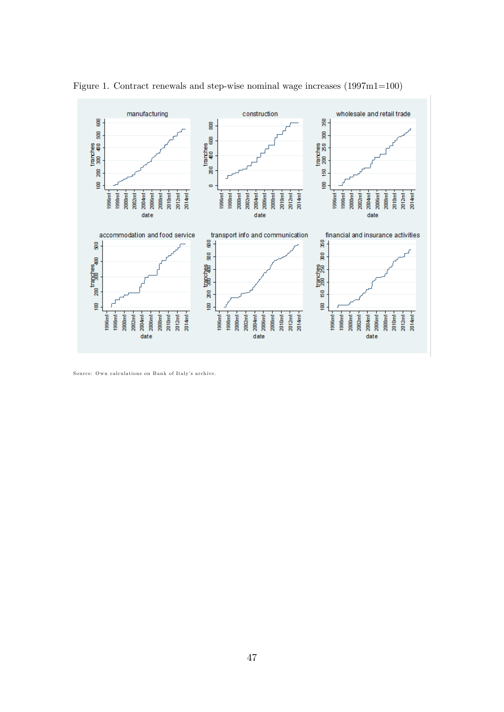

Figure 1. Contract renewals and step-wise nominal wage increases (1997m1=100)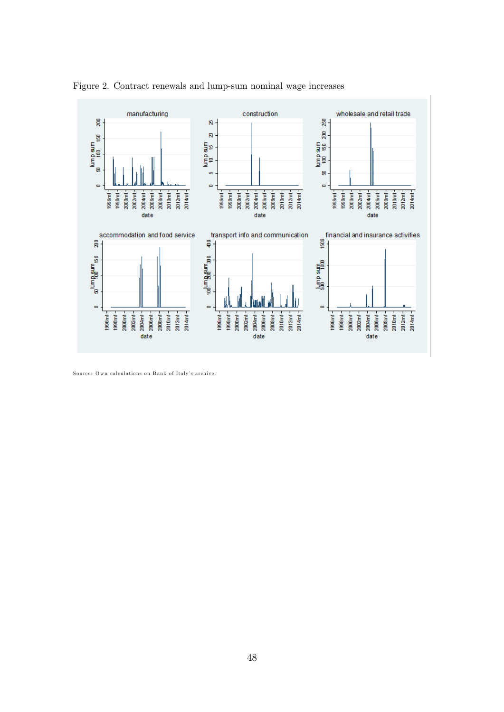

Figure 2. Contract renewals and lump-sum nominal wage increases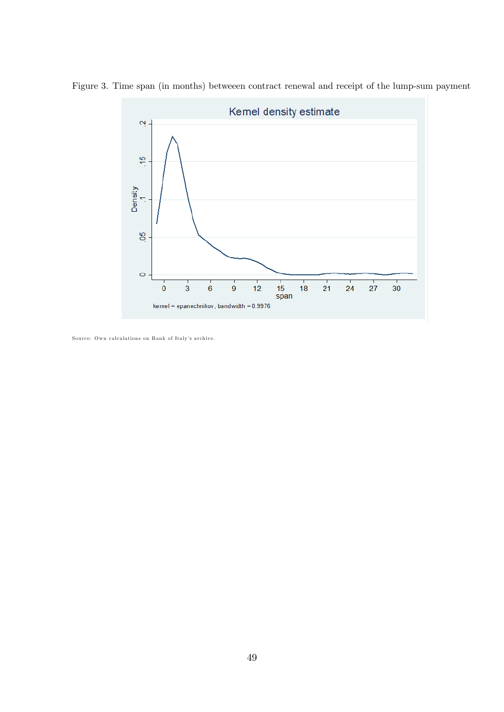

Figure 3. Time span (in months) betweeen contract renewal and receipt of the lump-sum payment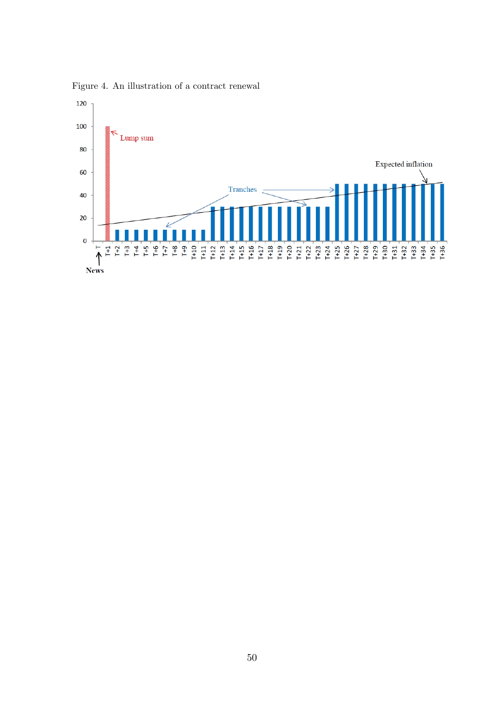

Figure 4. An illustration of a contract renewal